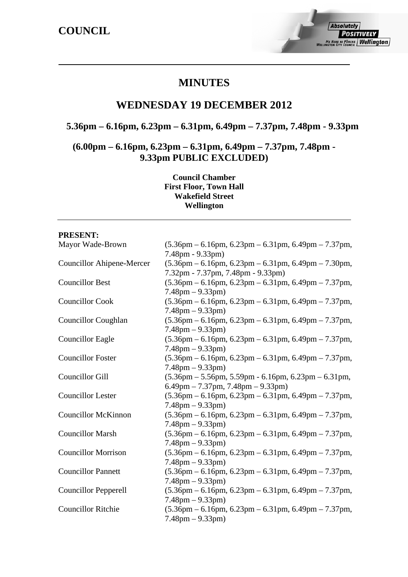## **MINUTES**

## **WEDNESDAY 19 DECEMBER 2012**

## **5.36pm – 6.16pm, 6.23pm – 6.31pm, 6.49pm – 7.37pm, 7.48pm - 9.33pm**

**(6.00pm – 6.16pm, 6.23pm – 6.31pm, 6.49pm – 7.37pm, 7.48pm - 9.33pm PUBLIC EXCLUDED)** 

> **Council Chamber First Floor, Town Hall Wakefield Street Wellington**

### **PRESENT:**

| Mayor Wade-Brown                 | $(5.36 \text{pm} - 6.16 \text{pm}, 6.23 \text{pm} - 6.31 \text{pm}, 6.49 \text{pm} - 7.37 \text{pm},$<br>7.48pm - 9.33pm)                                                        |
|----------------------------------|----------------------------------------------------------------------------------------------------------------------------------------------------------------------------------|
| <b>Councillor Ahipene-Mercer</b> | $(5.36 \text{pm} - 6.16 \text{pm}, 6.23 \text{pm} - 6.31 \text{pm}, 6.49 \text{pm} - 7.30 \text{pm},$<br>7.32pm - 7.37pm, 7.48pm - 9.33pm)                                       |
| <b>Councillor Best</b>           | $(5.36 \text{pm} - 6.16 \text{pm}, 6.23 \text{pm} - 6.31 \text{pm}, 6.49 \text{pm} - 7.37 \text{pm},$<br>$7.48 \text{pm} - 9.33 \text{pm}$                                       |
| <b>Councillor Cook</b>           | $(5.36 \text{pm} - 6.16 \text{pm}, 6.23 \text{pm} - 6.31 \text{pm}, 6.49 \text{pm} - 7.37 \text{pm},$<br>$7.48 \text{pm} - 9.33 \text{pm}$                                       |
| <b>Councillor Coughlan</b>       | $(5.36 \text{pm} - 6.16 \text{pm}, 6.23 \text{pm} - 6.31 \text{pm}, 6.49 \text{pm} - 7.37 \text{pm},$<br>$7.48 \text{pm} - 9.33 \text{pm}$                                       |
| <b>Councillor Eagle</b>          | $(5.36 \text{pm} - 6.16 \text{pm}, 6.23 \text{pm} - 6.31 \text{pm}, 6.49 \text{pm} - 7.37 \text{pm},$<br>$7.48 \text{pm} - 9.33 \text{pm}$                                       |
| <b>Councillor Foster</b>         | $(5.36 \text{pm} - 6.16 \text{pm}, 6.23 \text{pm} - 6.31 \text{pm}, 6.49 \text{pm} - 7.37 \text{pm})$<br>$7.48 \text{pm} - 9.33 \text{pm}$                                       |
| <b>Councillor Gill</b>           | $(5.36 \text{pm} - 5.56 \text{pm}, 5.59 \text{pm} - 6.16 \text{pm}, 6.23 \text{pm} - 6.31 \text{pm},$<br>$6.49 \text{pm} - 7.37 \text{pm}$ , $7.48 \text{pm} - 9.33 \text{pm}$ ) |
| <b>Councillor Lester</b>         | $(5.36 \text{pm} - 6.16 \text{pm}, 6.23 \text{pm} - 6.31 \text{pm}, 6.49 \text{pm} - 7.37 \text{pm},$<br>$7.48 \text{pm} - 9.33 \text{pm}$                                       |
| <b>Councillor McKinnon</b>       | $(5.36 \text{pm} - 6.16 \text{pm}, 6.23 \text{pm} - 6.31 \text{pm}, 6.49 \text{pm} - 7.37 \text{pm},$<br>$7.48 \text{pm} - 9.33 \text{pm}$                                       |
| <b>Councillor Marsh</b>          | $(5.36 \text{pm} - 6.16 \text{pm}, 6.23 \text{pm} - 6.31 \text{pm}, 6.49 \text{pm} - 7.37 \text{pm},$<br>$7.48 \text{pm} - 9.33 \text{pm}$                                       |
| <b>Councillor Morrison</b>       | $(5.36 \text{pm} - 6.16 \text{pm}, 6.23 \text{pm} - 6.31 \text{pm}, 6.49 \text{pm} - 7.37 \text{pm},$<br>$7.48 \text{pm} - 9.33 \text{pm}$                                       |
| <b>Councillor Pannett</b>        | $(5.36 \text{pm} - 6.16 \text{pm}, 6.23 \text{pm} - 6.31 \text{pm}, 6.49 \text{pm} - 7.37 \text{pm},$<br>$7.48 \text{pm} - 9.33 \text{pm}$                                       |
| <b>Councillor Pepperell</b>      | $(5.36 \text{pm} - 6.16 \text{pm}, 6.23 \text{pm} - 6.31 \text{pm}, 6.49 \text{pm} - 7.37 \text{pm},$<br>$7.48 \text{pm} - 9.33 \text{pm}$                                       |
| <b>Councillor Ritchie</b>        | $(5.36 \text{pm} - 6.16 \text{pm}, 6.23 \text{pm} - 6.31 \text{pm}, 6.49 \text{pm} - 7.37 \text{pm},$<br>$7.48 \text{pm} - 9.33 \text{pm}$                                       |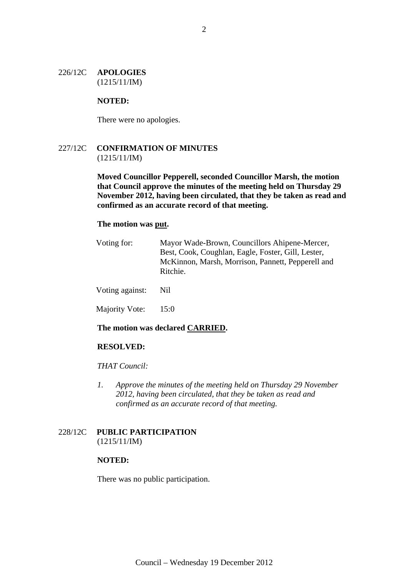### 226/12C **APOLOGIES** (1215/11/IM)

### **NOTED:**

There were no apologies.

### 227/12C **CONFIRMATION OF MINUTES** (1215/11/IM)

**Moved Councillor Pepperell, seconded Councillor Marsh, the motion that Council approve the minutes of the meeting held on Thursday 29 November 2012, having been circulated, that they be taken as read and confirmed as an accurate record of that meeting.** 

### **The motion was put.**

| Voting for:     | Mayor Wade-Brown, Councillors Ahipene-Mercer,<br>Best, Cook, Coughlan, Eagle, Foster, Gill, Lester,<br>McKinnon, Marsh, Morrison, Pannett, Pepperell and<br>Ritchie. |
|-----------------|----------------------------------------------------------------------------------------------------------------------------------------------------------------------|
| Voting against: | Nil.                                                                                                                                                                 |
| Majority Vote:  | 15:0                                                                                                                                                                 |
|                 |                                                                                                                                                                      |

### **The motion was declared CARRIED.**

### **RESOLVED:**

### *THAT Council:*

*1. Approve the minutes of the meeting held on Thursday 29 November 2012, having been circulated, that they be taken as read and confirmed as an accurate record of that meeting.* 

### 228/12C **PUBLIC PARTICIPATION** (1215/11/IM)

### **NOTED:**

There was no public participation.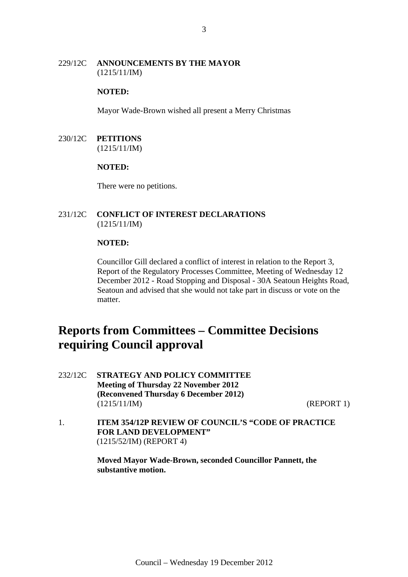### 229/12C **ANNOUNCEMENTS BY THE MAYOR** (1215/11/IM)

### **NOTED:**

Mayor Wade-Brown wished all present a Merry Christmas

### 230/12C **PETITIONS** (1215/11/IM)

### **NOTED:**

There were no petitions.

### 231/12C **CONFLICT OF INTEREST DECLARATIONS** (1215/11/IM)

### **NOTED:**

Councillor Gill declared a conflict of interest in relation to the Report 3, Report of the Regulatory Processes Committee, Meeting of Wednesday 12 December 2012 - Road Stopping and Disposal - 30A Seatoun Heights Road, Seatoun and advised that she would not take part in discuss or vote on the matter.

# **Reports from Committees – Committee Decisions requiring Council approval**

232/12C **STRATEGY AND POLICY COMMITTEE Meeting of Thursday 22 November 2012 (Reconvened Thursday 6 December 2012)**  (1215/11/IM) (REPORT 1)

1. **ITEM 354/12P REVIEW OF COUNCIL'S "CODE OF PRACTICE FOR LAND DEVELOPMENT"**  (1215/52/IM) (REPORT 4)

> **Moved Mayor Wade-Brown, seconded Councillor Pannett, the substantive motion.**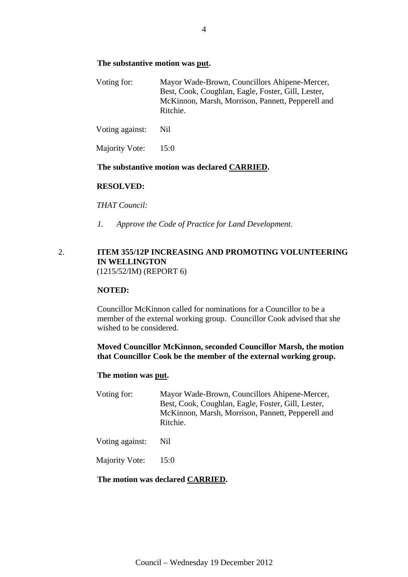### **The substantive motion was put.**

| Voting for: | Mayor Wade-Brown, Councillors Ahipene-Mercer,      |
|-------------|----------------------------------------------------|
|             | Best, Cook, Coughlan, Eagle, Foster, Gill, Lester, |
|             | McKinnon, Marsh, Morrison, Pannett, Pepperell and  |
|             | Ritchie.                                           |

Voting against: Nil

Majority Vote: 15:0

### **The substantive motion was declared CARRIED.**

### **RESOLVED:**

*THAT Council:* 

*1. Approve the Code of Practice for Land Development.* 

### 2. **ITEM 355/12P INCREASING AND PROMOTING VOLUNTEERING IN WELLINGTON**  (1215/52/IM) (REPORT 6)

### **NOTED:**

Councillor McKinnon called for nominations for a Councillor to be a member of the external working group. Councillor Cook advised that she wished to be considered.

### **Moved Councillor McKinnon, seconded Councillor Marsh, the motion that Councillor Cook be the member of the external working group.**

### **The motion was put.**

- Voting for: Mayor Wade-Brown, Councillors Ahipene-Mercer, Best, Cook, Coughlan, Eagle, Foster, Gill, Lester, McKinnon, Marsh, Morrison, Pannett, Pepperell and Ritchie.
- Voting against: Nil
- Majority Vote: 15:0

### **The motion was declared CARRIED.**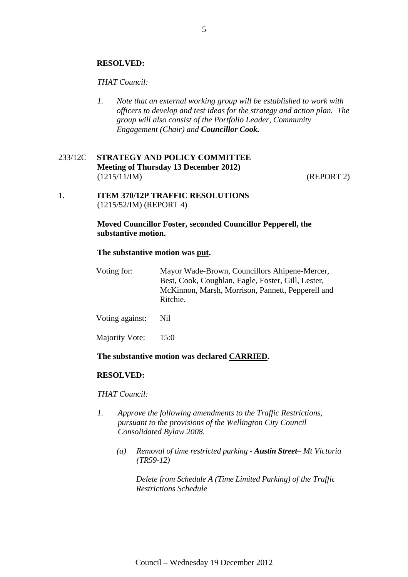### **RESOLVED:**

### *THAT Council:*

*1. Note that an external working group will be established to work with officers to develop and test ideas for the strategy and action plan. The group will also consist of the Portfolio Leader, Community Engagement (Chair) and Councillor Cook.*

### 233/12C **STRATEGY AND POLICY COMMITTEE Meeting of Thursday 13 December 2012)**  (1215/11/IM) (REPORT 2)

1. **ITEM 370/12P TRAFFIC RESOLUTIONS**  (1215/52/IM) (REPORT 4)

### **Moved Councillor Foster, seconded Councillor Pepperell, the substantive motion.**

### **The substantive motion was put.**

| Voting for: | Mayor Wade-Brown, Councillors Ahipene-Mercer,      |
|-------------|----------------------------------------------------|
|             | Best, Cook, Coughlan, Eagle, Foster, Gill, Lester, |
|             | McKinnon, Marsh, Morrison, Pannett, Pepperell and  |
|             | Ritchie.                                           |

Voting against: Nil

Majority Vote: 15:0

### **The substantive motion was declared CARRIED.**

### **RESOLVED:**

### *THAT Council:*

- *1. Approve the following amendments to the Traffic Restrictions, pursuant to the provisions of the Wellington City Council Consolidated Bylaw 2008.* 
	- *(a) Removal of time restricted parking Austin Street Mt Victoria (TR59-12)*

*Delete from Schedule A (Time Limited Parking) of the Traffic Restrictions Schedule*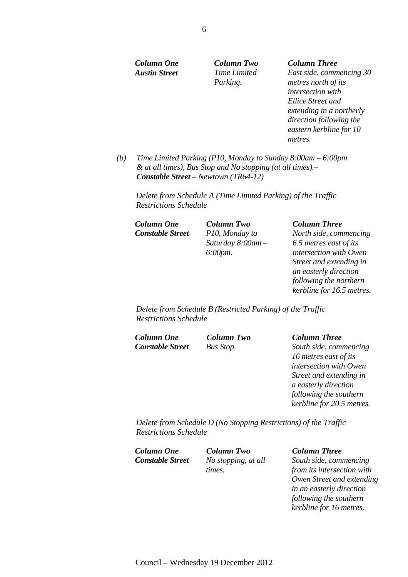*Austin Street Time Limited* 

*Parking.*

### *Column One Column Two Column Three*

*East side, commencing 30 metres north of its intersection with Ellice Street and extending in a northerly direction following the eastern kerbline for 10 metres.* 

*(b) Time Limited Parking (P10, Monday to Sunday 8:00am – 6:00pm & at all times), Bus Stop and No stopping (at all times).– Constable Street – Newtown (TR64-12)* 

*Delete from Schedule A (Time Limited Parking) of the Traffic Restrictions Schedule* 

*Column One Column Two Column Three Constable Street P10, Monday to* 

*Saturday 8:00am – 6:00pm.*

*North side, commencing 6.5 metres east of its intersection with Owen Street and extending in an easterly direction following the northern kerbline for 16.5 metres.* 

*Delete from Schedule B (Restricted Parking) of the Traffic Restrictions Schedule* 

*Column One Column Two Column Three* 

### *Constable Street Bus Stop. South side, commencing 16 metres east of its intersection with Owen Street and extending in a easterly direction following the southern kerbline for 20.5 metres.*

*Delete from Schedule D (No Stopping Restrictions) of the Traffic Restrictions Schedule* 

*Column One Column Two Column Three Constable Street No stopping, at all* 

*times.* 

*South side, commencing from its intersection with Owen Street and extending in an easterly direction following the southern kerbline for 16 metres.*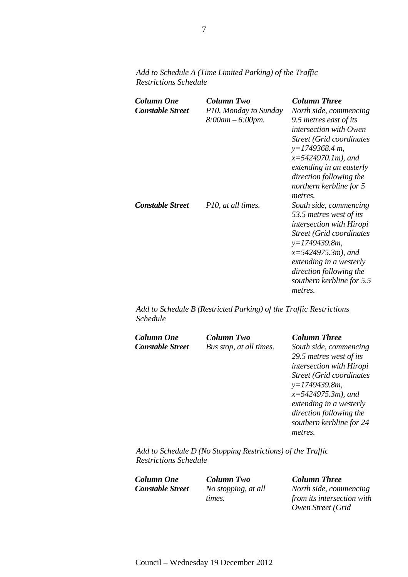*Column One Column Two Column Three Constable Street P10, Monday to Sunday 8:00am – 6:00pm. North side, commencing 9.5 metres east of its intersection with Owen Street (Grid coordinates y=1749368.4 m, x=5424970.1m), and extending in an easterly direction following the northern kerbline for 5 metres. Constable Street P10, at all times. South side, commencing 53.5 metres west of its intersection with Hiropi Street (Grid coordinates y=1749439.8m, x=5424975.3m), and extending in a westerly direction following the southern kerbline for 5.5 metres.* 

*Add to Schedule A (Time Limited Parking) of the Traffic Restrictions Schedule* 

*Add to Schedule B (Restricted Parking) of the Traffic Restrictions Schedule* 

| Column One              | Column Two              | <b>Column Three</b>                               |
|-------------------------|-------------------------|---------------------------------------------------|
| <b>Constable Street</b> | Bus stop, at all times. | South side, commencing<br>29.5 metres west of its |
|                         |                         | intersection with Hiropi                          |
|                         |                         | <b>Street (Grid coordinates)</b>                  |
|                         |                         | $y=1749439.8m$ ,                                  |
|                         |                         | $x=5424975.3m$ , and                              |
|                         |                         | extending in a westerly                           |
|                         |                         | direction following the                           |
|                         |                         | southern kerbline for 24                          |
|                         |                         | metres.                                           |
|                         |                         |                                                   |

*Add to Schedule D (No Stopping Restrictions) of the Traffic Restrictions Schedule* 

*Column One Column Two Column Three Constable Street No stopping, at all* 

*times.*

*North side, commencing from its intersection with Owen Street (Grid*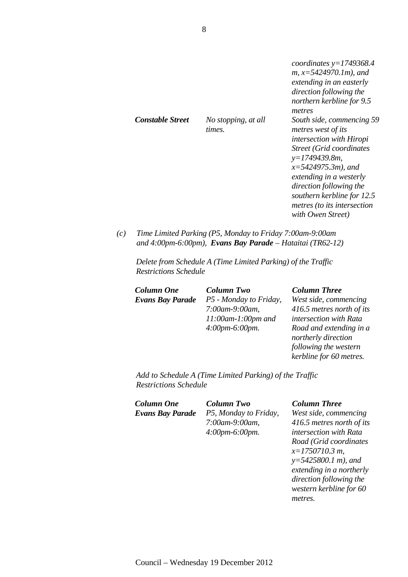|                         |                               | coordinates $y=1749368.4$<br>$m, x=5424970.1m$ , and<br>extending in an easterly<br>direction following the<br>northern kerbline for 9.5<br>metres                                                                                                                                                         |
|-------------------------|-------------------------------|------------------------------------------------------------------------------------------------------------------------------------------------------------------------------------------------------------------------------------------------------------------------------------------------------------|
| <b>Constable Street</b> | No stopping, at all<br>times. | South side, commencing 59<br>metres west of its<br><i>intersection with Hiropi</i><br><b>Street (Grid coordinates)</b><br>$y=1749439.8m$ ,<br>$x=5424975.3m$ , and<br>extending in a westerly<br>direction following the<br>southern kerbline for 12.5<br>metres (to its intersection<br>with Owen Street) |

*(c) Time Limited Parking (P5, Monday to Friday 7:00am-9:00am and 4:00pm-6:00pm), Evans Bay Parade – Hataitai (TR62-12)* 

*Delete from Schedule A (Time Limited Parking) of the Traffic Restrictions Schedule* 

*Column One Column Two Column Three Evans Bay Parade P5 - Monday to Friday, 7:00am-9:00am, 11:00am-1:00pm and 4:00pm-6:00pm.* 

*West side, commencing 416.5 metres north of its intersection with Rata Road and extending in a northerly direction following the western kerbline for 60 metres.* 

*Add to Schedule A (Time Limited Parking) of the Traffic Restrictions Schedule* 

*Column One Column Two Column Three Evans Bay Parade P5, Monday to Friday,* 

*7:00am-9:00am, 4:00pm-6:00pm.*

*West side, commencing 416.5 metres north of its intersection with Rata Road (Grid coordinates x=1750710.3 m, y=5425800.1 m), and extending in a northerly direction following the western kerbline for 60 metres.*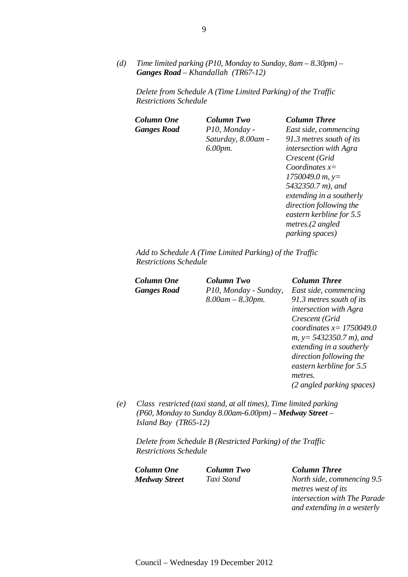*(d) Time limited parking (P10, Monday to Sunday, 8am – 8.30pm) – Ganges Road – Khandallah (TR67-12)* 

*Delete from Schedule A (Time Limited Parking) of the Traffic Restrictions Schedule* 

*Ganges Road P10, Monday -* 

*Column One Column Two Column Three Saturday, 8.00am - 6.00pm.*

*East side, commencing 91.3 metres south of its intersection with Agra Crescent (Grid Coordinates x= 1750049.0 m, y= 5432350.7 m), and extending in a southerly direction following the eastern kerbline for 5.5 metres.(2 angled parking spaces)* 

*Add to Schedule A (Time Limited Parking) of the Traffic Restrictions Schedule* 

| Column One         | <b>Column Two</b>      | <b>Column Three</b>           |
|--------------------|------------------------|-------------------------------|
| <b>Ganges Road</b> | P10, Monday - Sunday,  | East side, commencing         |
|                    | $8.00$ am $- 8.30$ pm. | 91.3 metres south of its      |
|                    |                        | <i>intersection with Agra</i> |
|                    |                        | Crescent (Grid                |
|                    |                        | coordinates $x=1750049.0$     |
|                    |                        | $m, y = 5432350.7 m$ , and    |
|                    |                        | extending in a southerly      |
|                    |                        | direction following the       |
|                    |                        | eastern kerbline for 5.5      |
|                    |                        | metres.                       |
|                    |                        | (2 angled parking spaces)     |

*(e) Class restricted (taxi stand, at all times), Time limited parking (P60, Monday to Sunday 8.00am-6.00pm) – Medway Street – Island Bay (TR65-12)* 

*Delete from Schedule B (Restricted Parking) of the Traffic Restrictions Schedule* 

*Column One Column Two Column Three* 

*Medway Street Taxi Stand North side, commencing 9.5 metres west of its intersection with The Parade and extending in a westerly*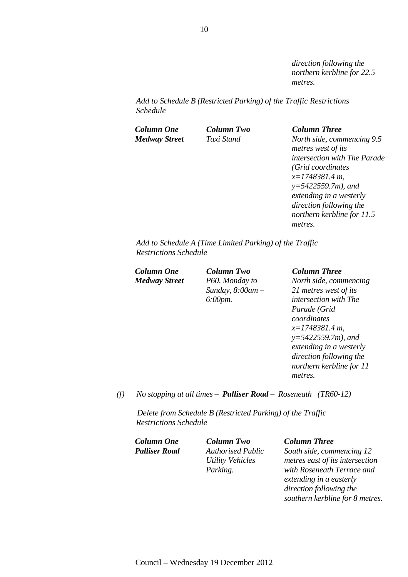*direction following the northern kerbline for 22.5 metres.* 

*Add to Schedule B (Restricted Parking) of the Traffic Restrictions Schedule* 

*Column One Column Two Column Three Medway Street Taxi Stand North side, commencing 9.5 metres west of its intersection with The Parade (Grid coordinates x=1748381.4 m, y=5422559.7m), and extending in a westerly direction following the northern kerbline for 11.5 metres.* 

*Add to Schedule A (Time Limited Parking) of the Traffic Restrictions Schedule* 

*Medway Street P60, Monday to Sunday, 8:00am – 6:00pm.* 

### *Column One Column Two Column Three*

*North side, commencing 21 metres west of its intersection with The Parade (Grid coordinates x=1748381.4 m, y=5422559.7m), and extending in a westerly direction following the northern kerbline for 11 metres.* 

*(f) No stopping at all times – Palliser Road – Roseneath (TR60-12)* 

*Delete from Schedule B (Restricted Parking) of the Traffic Restrictions Schedule* 

*Column One Column Two Column Three* 

*Palliser Road Authorised Public Utility Vehicles Parking.* 

*South side, commencing 12 metres east of its intersection with Roseneath Terrace and extending in a easterly direction following the southern kerbline for 8 metres.*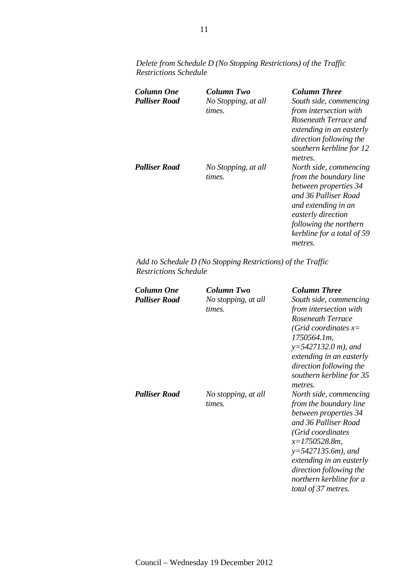*Delete from Schedule D (No Stopping Restrictions) of the Traffic Restrictions Schedule* 

| Column One<br><b>Palliser Road</b> | Column Two<br>No Stopping, at all<br>times. | Column Three<br>South side, commencing<br>from intersection with<br>Roseneath Terrace and<br>extending in an easterly<br>direction following the<br>southern kerbline for 12<br>metres.                           |
|------------------------------------|---------------------------------------------|-------------------------------------------------------------------------------------------------------------------------------------------------------------------------------------------------------------------|
| <b>Palliser Road</b>               | No Stopping, at all<br>times.               | North side, commencing<br>from the boundary line<br>between properties 34<br>and 36 Palliser Road<br>and extending in an<br>easterly direction<br>following the northern<br>kerbline for a total of 59<br>metres. |

*Add to Schedule D (No Stopping Restrictions) of the Traffic Restrictions Schedule* 

| <b>Column One</b><br><b>Palliser Road</b> | <b>Column Two</b><br>No stopping, at all<br>times. | <b>Column Three</b><br>South side, commencing<br>from intersection with<br>Roseneath Terrace<br>(Grid coordinates $x=$<br>1750564.1m,<br>$y=5427132.0 m$ , and<br>extending in an easterly<br>direction following the<br>southern kerbline for 35<br>metres.                |
|-------------------------------------------|----------------------------------------------------|-----------------------------------------------------------------------------------------------------------------------------------------------------------------------------------------------------------------------------------------------------------------------------|
| <b>Palliser Road</b>                      | No stopping, at all<br>times.                      | North side, commencing<br>from the boundary line<br>between properties 34<br>and 36 Palliser Road<br>(Grid coordinates<br>$x=1750528.8m$ ,<br>$y=5427135.6m$ , and<br>extending in an easterly<br>direction following the<br>northern kerbline for a<br>total of 37 metres. |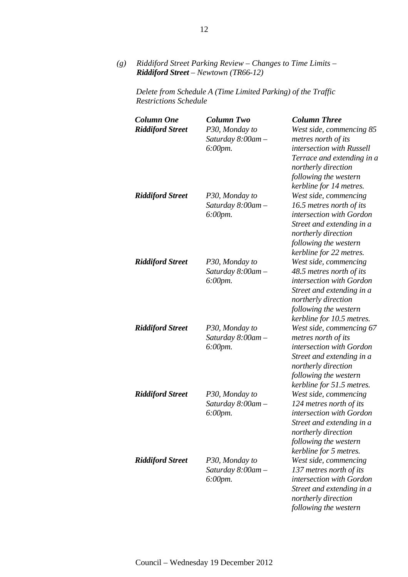*(g) Riddiford Street Parking Review – Changes to Time Limits – Riddiford Street – Newtown (TR66-12)* 

*Delete from Schedule A (Time Limited Parking) of the Traffic Restrictions Schedule* 

| <b>Column One</b><br><b>Riddiford Street</b> | <b>Column Two</b><br>P30, Monday to<br>Saturday 8:00am -<br>6:00pm. | <b>Column Three</b><br>West side, commencing 85<br>metres north of its<br>intersection with Russell<br>Terrace and extending in a<br>northerly direction<br>following the western                                |
|----------------------------------------------|---------------------------------------------------------------------|------------------------------------------------------------------------------------------------------------------------------------------------------------------------------------------------------------------|
| <b>Riddiford Street</b>                      | P30, Monday to<br>Saturday $8:00$ am $-$<br>6:00pm.                 | kerbline for 14 metres.<br>West side, commencing<br>16.5 metres north of its<br>intersection with Gordon<br>Street and extending in a<br>northerly direction<br>following the western<br>kerbline for 22 metres. |
| <b>Riddiford Street</b>                      | P30, Monday to<br>Saturday 8:00am -<br>6:00pm.                      | West side, commencing<br>48.5 metres north of its<br>intersection with Gordon<br>Street and extending in a<br>northerly direction<br>following the western<br>kerbline for 10.5 metres.                          |
| <b>Riddiford Street</b>                      | P30, Monday to<br>Saturday 8:00am -<br>6:00pm.                      | West side, commencing 67<br>metres north of its<br>intersection with Gordon<br>Street and extending in a<br>northerly direction<br>following the western<br>kerbline for 51.5 metres.                            |
| <b>Riddiford Street</b>                      | P30, Monday to<br>Saturday 8:00am -<br>$6:00$ pm.                   | West side, commencing<br>124 metres north of its<br>intersection with Gordon<br>Street and extending in a<br>northerly direction<br>following the western<br>kerbline for 5 metres.                              |
| <b>Riddiford Street</b>                      | P30, Monday to<br>Saturday $8:00$ am $-$<br>6:00pm.                 | West side, commencing<br>137 metres north of its<br>intersection with Gordon<br>Street and extending in a<br>northerly direction<br>following the western                                                        |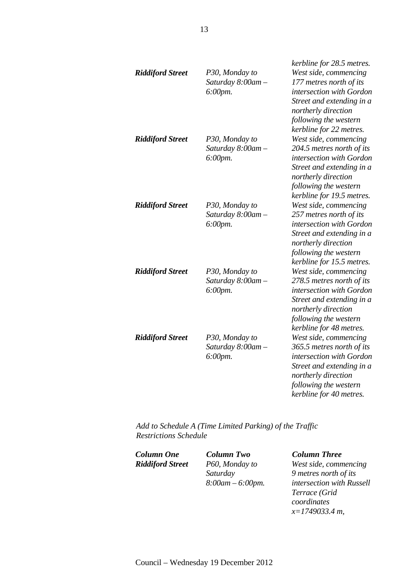| <b>Riddiford Street</b> | P30, Monday to<br>Saturday $8:00$ am $-$<br>6:00pm. | kerbline for 28.5 metres.<br>West side, commencing<br>177 metres north of its<br>intersection with Gordon<br>Street and extending in a<br>northerly direction<br>following the western                              |
|-------------------------|-----------------------------------------------------|---------------------------------------------------------------------------------------------------------------------------------------------------------------------------------------------------------------------|
| <b>Riddiford Street</b> | P30, Monday to<br>Saturday $8:00$ am $-$<br>6:00pm. | kerbline for 22 metres.<br>West side, commencing<br>204.5 metres north of its<br>intersection with Gordon<br>Street and extending in a<br>northerly direction<br>following the western<br>kerbline for 19.5 metres. |
| <b>Riddiford Street</b> | P30, Monday to<br>Saturday 8:00am -<br>6:00pm.      | West side, commencing<br>257 metres north of its<br>intersection with Gordon<br>Street and extending in a<br>northerly direction<br>following the western<br>kerbline for 15.5 metres.                              |
| <b>Riddiford Street</b> | P30, Monday to<br>Saturday 8:00am -<br>6:00pm.      | West side, commencing<br>278.5 metres north of its<br>intersection with Gordon<br>Street and extending in a<br>northerly direction<br>following the western<br>kerbline for 48 metres.                              |
| <b>Riddiford Street</b> | P30, Monday to<br>Saturday 8:00am -<br>$6:00$ pm.   | West side, commencing<br>365.5 metres north of its<br>intersection with Gordon<br>Street and extending in a<br>northerly direction<br>following the western<br>kerbline for 40 metres.                              |

*Add to Schedule A (Time Limited Parking) of the Traffic Restrictions Schedule* 

*Column One Column Two Column Three Riddiford Street P60, Monday to* 

*Saturday 8:00am – 6:00pm.*

*West side, commencing 9 metres north of its intersection with Russell Terrace (Grid coordinates x=1749033.4 m,*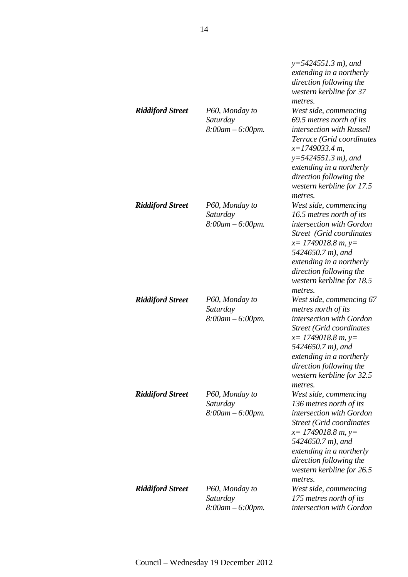|                         |                                                     | $y=5424551.3 m$ , and<br>extending in a northerly<br>direction following the<br>western kerbline for 37<br>metres.                                                                                                                                           |
|-------------------------|-----------------------------------------------------|--------------------------------------------------------------------------------------------------------------------------------------------------------------------------------------------------------------------------------------------------------------|
| <b>Riddiford Street</b> | P60, Monday to<br>Saturday<br>$8:00am - 6:00pm.$    | West side, commencing<br>69.5 metres north of its<br>intersection with Russell<br>Terrace (Grid coordinates<br>$x=1749033.4$ m.<br>$y=5424551.3 m$ , and<br>extending in a northerly<br>direction following the<br>western kerbline for 17.5<br>metres.      |
| <b>Riddiford Street</b> | P60, Monday to<br>Saturday<br>$8:00am - 6:00pm.$    | West side, commencing<br>16.5 metres north of its<br>intersection with Gordon<br><b>Street</b> (Grid coordinates<br>$x=$ 1749018.8 m, y=<br>5424650.7 m), and<br>extending in a northerly<br>direction following the<br>western kerbline for 18.5<br>metres. |
| <b>Riddiford Street</b> | P60, Monday to<br>Saturday<br>$8:00am - 6:00pm.$    | West side, commencing 67<br>metres north of its<br>intersection with Gordon<br><b>Street (Grid coordinates)</b><br>$x=$ 1749018.8 m, y=<br>5424650.7 m), and<br>extending in a northerly<br>direction following the<br>western kerbline for 32.5<br>metres.  |
| <b>Riddiford Street</b> | P60, Monday to<br>Saturday<br>$8:00$ am $-6:00$ pm. | West side, commencing<br>136 metres north of its<br>intersection with Gordon<br><b>Street (Grid coordinates</b><br>$x=$ 1749018.8 m, y=<br>5424650.7 m), and<br>extending in a northerly<br>direction following the<br>western kerbline for 26.5<br>metres.  |
| <b>Riddiford Street</b> | P60, Monday to<br>Saturday<br>$8:00am - 6:00pm.$    | West side, commencing<br>175 metres north of its<br>intersection with Gordon                                                                                                                                                                                 |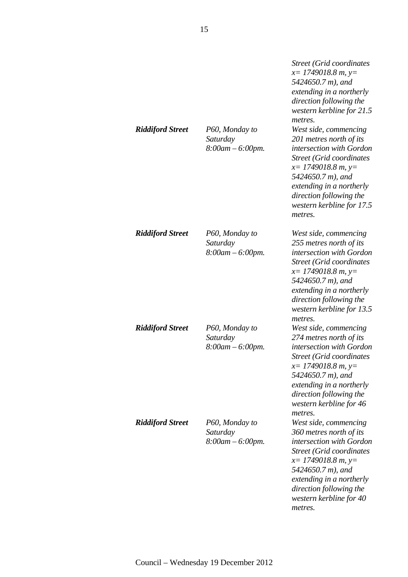| <b>Riddiford Street</b> | P60, Monday to<br>Saturday<br>$8:00$ am $-6:00$ pm. | Street (Grid coordinates<br>$x=$ 1749018.8 m, y=<br>5424650.7 m), and<br>extending in a northerly<br>direction following the<br>western kerbline for 21.5<br>metres.<br>West side, commencing<br>201 metres north of its<br>intersection with Gordon<br><b>Street (Grid coordinates</b><br>$x=$ 1749018.8 m, y=<br>5424650.7 m), and<br>extending in a northerly<br>direction following the<br>western kerbline for 17.5<br>metres. |
|-------------------------|-----------------------------------------------------|-------------------------------------------------------------------------------------------------------------------------------------------------------------------------------------------------------------------------------------------------------------------------------------------------------------------------------------------------------------------------------------------------------------------------------------|
| <b>Riddiford Street</b> | P60, Monday to<br>Saturday<br>$8:00am - 6:00pm.$    | West side, commencing<br>255 metres north of its<br>intersection with Gordon<br><b>Street (Grid coordinates)</b><br>$x=$ 1749018.8 m, y=<br>5424650.7 m), and<br>extending in a northerly<br>direction following the<br>western kerbline for 13.5<br>metres.                                                                                                                                                                        |
| <b>Riddiford Street</b> | P60, Monday to<br>Saturday<br>$8:00am - 6:00pm.$    | West side, commencing<br>274 metres north of its<br>intersection with Gordon<br><b>Street (Grid coordinates)</b><br>$x=$ 1749018.8 m, y=<br>5424650.7 m), and<br>extending in a northerly<br>direction following the<br>western kerbline for 46<br>metres.                                                                                                                                                                          |
| <b>Riddiford Street</b> | P60, Monday to<br>Saturday<br>$8:00am - 6:00pm.$    | West side, commencing<br>360 metres north of its<br>intersection with Gordon<br><b>Street (Grid coordinates)</b><br>$x=$ 1749018.8 m, y=<br>5424650.7 m), and<br>extending in a northerly<br>direction following the<br>western kerbline for 40<br>metres.                                                                                                                                                                          |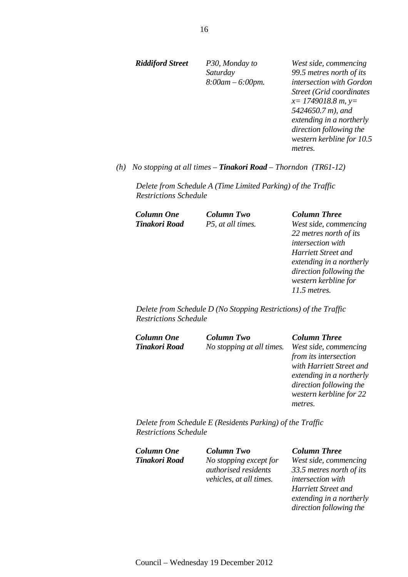*Riddiford Street P30, Monday to* 

*Saturday 8:00am – 6:00pm.*

*West side, commencing 99.5 metres north of its intersection with Gordon Street (Grid coordinates x= 1749018.8 m, y= 5424650.7 m), and extending in a northerly direction following the western kerbline for 10.5 metres.* 

*(h) No stopping at all times – Tinakori Road – Thorndon (TR61-12)* 

*Delete from Schedule A (Time Limited Parking) of the Traffic Restrictions Schedule* 

*Column One Column Two Column Three* 

*Tinakori Road P5, at all times. West side, commencing 22 metres north of its intersection with Harriett Street and extending in a northerly direction following the western kerbline for 11.5 metres.* 

*direction following the* 

*Delete from Schedule D (No Stopping Restrictions) of the Traffic Restrictions Schedule* 

| Column One    | <b>Column Two</b>         | <b>Column Three</b>      |
|---------------|---------------------------|--------------------------|
| Tinakori Road | No stopping at all times. | West side, commencing    |
|               |                           | from its intersection    |
|               |                           | with Harriett Street and |
|               |                           | extending in a northerly |
|               |                           | direction following the  |
|               |                           | western kerbline for 22  |
|               |                           | metres.                  |
|               |                           |                          |

*Delete from Schedule E (Residents Parking) of the Traffic Restrictions Schedule* 

| Column One    | <b>Column Two</b>              | <b>Column Three</b>        |
|---------------|--------------------------------|----------------------------|
| Tinakori Road | No stopping except for         | West side, commencing      |
|               | <i>authorised residents</i>    | 33.5 metres north of its   |
|               | <i>vehicles, at all times.</i> | <i>intersection with</i>   |
|               |                                | <b>Harriett Street and</b> |
|               |                                | extending in a northerly   |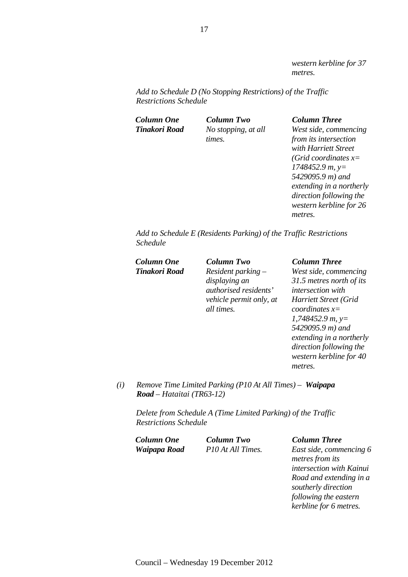*western kerbline for 37 metres.* 

*Add to Schedule D (No Stopping Restrictions) of the Traffic Restrictions Schedule* 

*Column One Column Two Column Three Tinakori Road No stopping, at all times.*

*West side, commencing from its intersection with Harriett Street (Grid coordinates x= 1748452.9 m, y= 5429095.9 m) and extending in a northerly direction following the western kerbline for 26 metres.* 

*Add to Schedule E (Residents Parking) of the Traffic Restrictions Schedule* 

*Tinakori Road Resident parking – displaying an authorised residents' vehicle permit only, at all times.*

### *Column One Column Two Column Three*

*West side, commencing 31.5 metres north of its intersection with Harriett Street (Grid coordinates x= 1,748452.9 m, y= 5429095.9 m) and extending in a northerly direction following the western kerbline for 40 metres.* 

*(i) Remove Time Limited Parking (P10 At All Times) – Waipapa Road – Hataitai (TR63-12)* 

*Delete from Schedule A (Time Limited Parking) of the Traffic Restrictions Schedule* 

*Column One Column Two Column Three* 

*Waipapa Road P10 At All Times. East side, commencing 6 metres from its intersection with Kainui Road and extending in a southerly direction following the eastern kerbline for 6 metres.*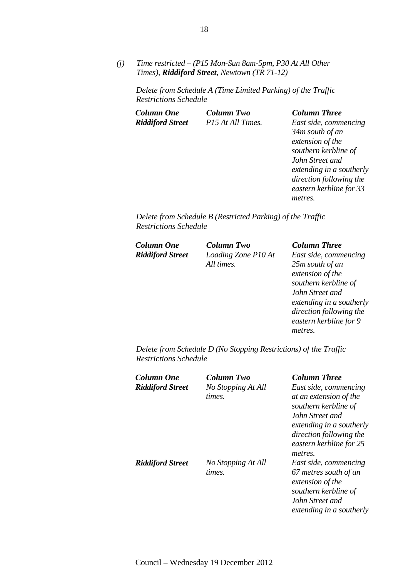*(j) Time restricted – (P15 Mon-Sun 8am-5pm, P30 At All Other Times), Riddiford Street, Newtown (TR 71-12)* 

*Delete from Schedule A (Time Limited Parking) of the Traffic Restrictions Schedule* 

| Column One              | <b>Column Two</b> |
|-------------------------|-------------------|
| <b>Riddiford Street</b> | P15 At All Times. |

*Column One Column Two Column Three Riddiford Street P15 At All Times. East side, commencing 34m south of an extension of the southern kerbline of John Street and extending in a southerly direction following the eastern kerbline for 33 metres.* 

*Delete from Schedule B (Restricted Parking) of the Traffic Restrictions Schedule* 

*Column One Column Two Column Three* 

*Riddiford Street Loading Zone P10 At All times.*

*East side, commencing 25m south of an extension of the southern kerbline of John Street and extending in a southerly direction following the eastern kerbline for 9 metres.* 

*Delete from Schedule D (No Stopping Restrictions) of the Traffic Restrictions Schedule* 

| Column One<br><b>Riddiford Street</b> | Column Two<br>No Stopping At All<br>times. | <b>Column Three</b><br>East side, commencing<br>at an extension of the<br>southern kerbline of<br>John Street and<br>extending in a southerly<br>direction following the<br>eastern kerbline for 25<br>metres. |
|---------------------------------------|--------------------------------------------|----------------------------------------------------------------------------------------------------------------------------------------------------------------------------------------------------------------|
| <b>Riddiford Street</b>               | No Stopping At All<br>times.               | East side, commencing<br>67 metres south of an<br>extension of the<br>southern kerbline of<br>John Street and<br>extending in a southerly                                                                      |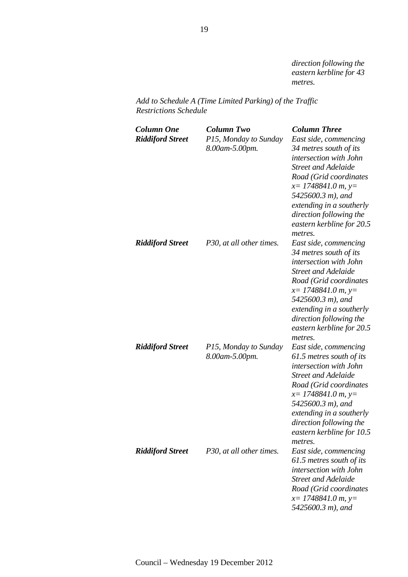*direction following the eastern kerbline for 43 metres.* 

*Add to Schedule A (Time Limited Parking) of the Traffic Restrictions Schedule* 

| <b>Column One</b><br><b>Riddiford Street</b> | <b>Column Two</b><br>P15, Monday to Sunday<br>8.00am-5.00pm. | <b>Column Three</b><br>East side, commencing<br>34 metres south of its<br>intersection with John<br><b>Street and Adelaide</b><br>Road (Grid coordinates<br>$x=$ 1748841.0 m, y=<br>5425600.3 m), and<br>extending in a southerly<br>direction following the<br>eastern kerbline for 20.5<br>metres. |
|----------------------------------------------|--------------------------------------------------------------|------------------------------------------------------------------------------------------------------------------------------------------------------------------------------------------------------------------------------------------------------------------------------------------------------|
| <b>Riddiford Street</b>                      | P30, at all other times.                                     | East side, commencing<br>34 metres south of its<br>intersection with John<br><b>Street and Adelaide</b><br>Road (Grid coordinates<br>$x=$ 1748841.0 m, y=<br>5425600.3 m), and<br>extending in a southerly<br>direction following the<br>eastern kerbline for 20.5<br>metres.                        |
| <b>Riddiford Street</b>                      | P15, Monday to Sunday<br>8.00am-5.00pm.                      | East side, commencing<br>61.5 metres south of its<br>intersection with John<br><b>Street and Adelaide</b><br>Road (Grid coordinates<br>$x=1748841.0 m, y=$<br>5425600.3 m), and<br>extending in a southerly<br>direction following the<br>eastern kerbline for 10.5<br>metres.                       |
| <b>Riddiford Street</b>                      | P30, at all other times.                                     | East side, commencing<br>61.5 metres south of its<br>intersection with John<br><b>Street and Adelaide</b><br>Road (Grid coordinates<br>$x=$ 1748841.0 m, y=<br>5425600.3 m), and                                                                                                                     |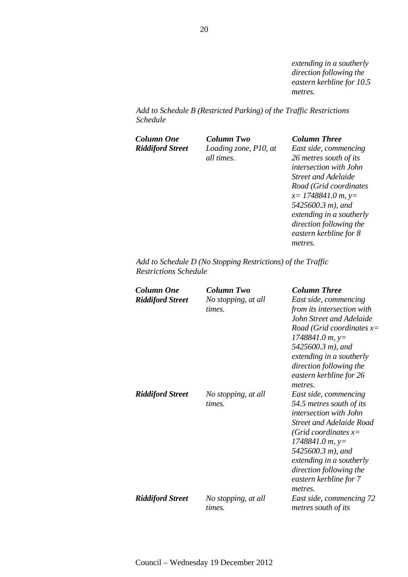*extending in a southerly direction following the eastern kerbline for 10.5 metres.* 

*Add to Schedule B (Restricted Parking) of the Traffic Restrictions Schedule* 

*Column One Column Two Column Three* 

*Riddiford Street Loading zone, P10, at all times.*

*East side, commencing 26 metres south of its intersection with John Street and Adelaide Road (Grid coordinates x= 1748841.0 m, y= 5425600.3 m), and extending in a southerly direction following the eastern kerbline for 8 metres.* 

*Add to Schedule D (No Stopping Restrictions) of the Traffic Restrictions Schedule* 

| Column One              | Column Two          | <b>Column Three</b>                |
|-------------------------|---------------------|------------------------------------|
| <b>Riddiford Street</b> | No stopping, at all | East side, commencing              |
|                         | times.              | from its intersection with         |
|                         |                     | John Street and Adelaide           |
|                         |                     | Road (Grid coordinates $x=$        |
|                         |                     | $1748841.0 m$ , y=                 |
|                         |                     | 5425600.3 m), and                  |
|                         |                     | extending in a southerly           |
|                         |                     | direction following the            |
|                         |                     | eastern kerbline for 26<br>metres. |
| <b>Riddiford Street</b> | No stopping, at all | East side, commencing              |
|                         | times.              | 54.5 metres south of its           |
|                         |                     | intersection with John             |
|                         |                     | <b>Street and Adelaide Road</b>    |
|                         |                     | (Grid coordinates $x=$             |
|                         |                     | $1748841.0 m$ , y=                 |
|                         |                     | 5425600.3 m), and                  |
|                         |                     | extending in a southerly           |
|                         |                     | direction following the            |
|                         |                     | eastern kerbline for 7             |
|                         |                     | metres.                            |
| <b>Riddiford Street</b> | No stopping, at all | East side, commencing 72           |
|                         | times.              | metres south of its                |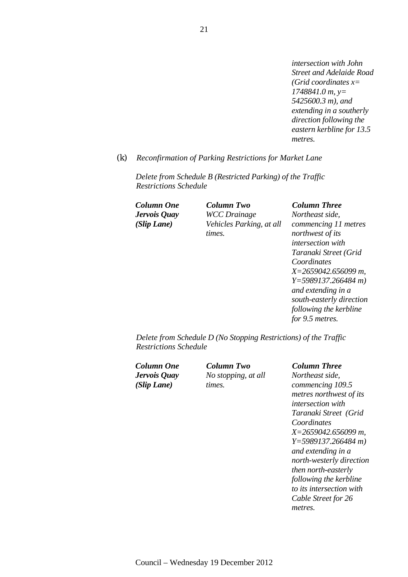*intersection with John Street and Adelaide Road (Grid coordinates x= 1748841.0 m, y= 5425600.3 m), and extending in a southerly direction following the eastern kerbline for 13.5 metres.* 

### *(k) Reconfirmation of Parking Restrictions for Market Lane*

*Delete from Schedule B (Restricted Parking) of the Traffic Restrictions Schedule* 

*Jervois Quay (Slip Lane)* 

*Column One Column Two Column Three WCC Drainage Vehicles Parking, at all times.* 

## *Northeast side,*

*commencing 11 metres northwest of its intersection with Taranaki Street (Grid Coordinates X=2659042.656099 m, Y=5989137.266484 m) and extending in a south-easterly direction following the kerbline for 9.5 metres.* 

*Delete from Schedule D (No Stopping Restrictions) of the Traffic Restrictions Schedule* 

*Jervois Quay (Slip Lane)* 

*Column One Column Two Column Three No stopping, at all times.* 

*Northeast side, commencing 109.5 metres northwest of its intersection with Taranaki Street (Grid Coordinates X=2659042.656099 m, Y=5989137.266484 m) and extending in a north-westerly direction then north-easterly following the kerbline to its intersection with Cable Street for 26 metres.*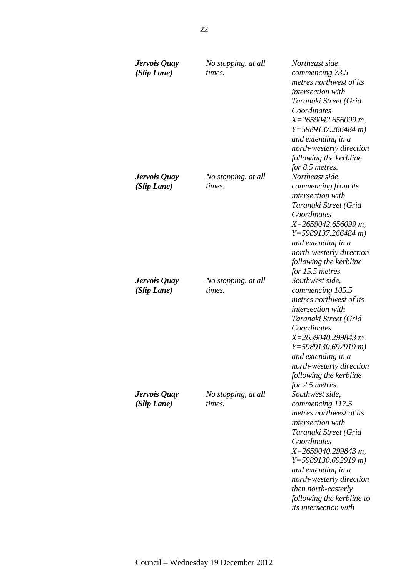| Jervois Quay<br>(Slip Lane) | No stopping, at all<br>times. | Northeast side,<br>commencing 73.5<br>metres northwest of its<br>intersection with<br>Taranaki Street (Grid<br>Coordinates<br>$X=2659042.656099$ m,<br>$Y=5989137.266484 m$                                                                                                                                         |
|-----------------------------|-------------------------------|---------------------------------------------------------------------------------------------------------------------------------------------------------------------------------------------------------------------------------------------------------------------------------------------------------------------|
| Jervois Quay<br>(Slip Lane) | No stopping, at all<br>times. | and extending in a<br>north-westerly direction<br>following the kerbline<br>for 8.5 metres.<br>Northeast side,<br>commencing from its                                                                                                                                                                               |
|                             |                               | <i>intersection</i> with<br>Taranaki Street (Grid<br>Coordinates<br>$X=2659042.656099$ m,<br>$Y=5989137.266484 m$<br>and extending in a<br>north-westerly direction<br>following the kerbline<br>for 15.5 metres.                                                                                                   |
| Jervois Quay<br>(Slip Lane) | No stopping, at all<br>times. | Southwest side,<br>commencing 105.5<br>metres northwest of its<br>intersection with<br>Taranaki Street (Grid<br>Coordinates<br>X=2659040.299843 m,<br>$Y=5989130.692919 m$<br>and extending in a<br>north-westerly direction<br>following the kerbline<br>for 2.5 metres.                                           |
| Jervois Quay<br>(Slip Lane) | No stopping, at all<br>times. | Southwest side,<br>commencing 117.5<br>metres northwest of its<br>intersection with<br>Taranaki Street (Grid<br>Coordinates<br>$X=2659040.299843 m$ ,<br>$Y=5989130.692919 m$<br>and extending in a<br>north-westerly direction<br>then north-easterly<br>following the kerbline to<br><i>its intersection with</i> |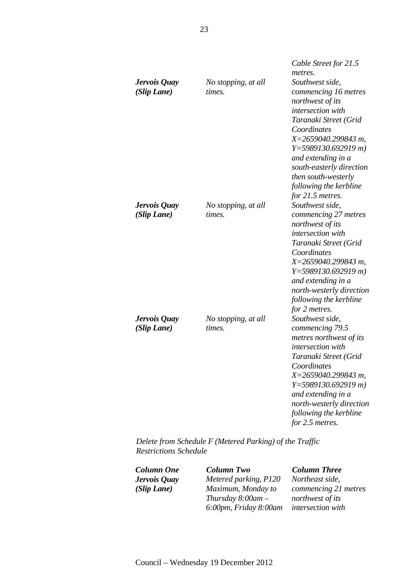|                             |                               | Cable Street for 21.5                                                                                                                                                                                                                                                                                          |
|-----------------------------|-------------------------------|----------------------------------------------------------------------------------------------------------------------------------------------------------------------------------------------------------------------------------------------------------------------------------------------------------------|
| Jervois Quay<br>(Slip Lane) | No stopping, at all<br>times. | metres.<br>Southwest side,<br>commencing 16 metres<br>northwest of its<br>intersection with<br>Taranaki Street (Grid<br>Coordinates<br>$X=2659040.299843 m$ ,<br>$Y=5989130.692919 m$<br>and extending in a<br>south-easterly direction<br>then south-westerly<br>following the kerbline<br>for $21.5$ metres. |
| Jervois Quay<br>(Slip Lane) | No stopping, at all<br>times. | Southwest side,<br>commencing 27 metres<br>northwest of its<br>intersection with<br>Taranaki Street (Grid<br>Coordinates<br>X=2659040.299843 m,<br>$Y=5989130.692919 m$<br>and extending in a<br>north-westerly direction<br>following the kerbline<br>for 2 metres.                                           |
| Jervois Quay<br>(Slip Lane) | No stopping, at all<br>times. | Southwest side,<br>commencing 79.5<br>metres northwest of its<br>intersection with<br>Taranaki Street (Grid<br>Coordinates<br>X=2659040.299843 m,<br>$Y=5989130.692919 m$<br>and extending in a<br>north-westerly direction<br>following the kerbline<br>for 2.5 metres.                                       |

*Delete from Schedule F (Metered Parking) of the Traffic Restrictions Schedule* 

*Jervois Quay (Slip Lane)* 

*Column One Column Two Column Three Metered parking, P120 Maximum, Monday to Thursday 8:00am – 6:00pm, Friday 8:00am* 

*Northeast side, commencing 21 metres northwest of its intersection with*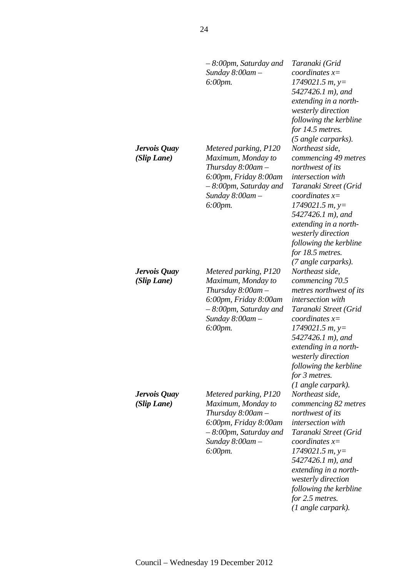|                             | $-8:00$ pm, Saturday and<br>Sunday $8:00$ am $-$<br>6:00pm.                                                                                                      | Taranaki (Grid<br>coordinates $x=$<br>$1749021.5 m$ , y=<br>5427426.1 m), and<br>extending in a north-<br>westerly direction<br>following the kerbline<br>for 14.5 metres.                                                                                                                                          |
|-----------------------------|------------------------------------------------------------------------------------------------------------------------------------------------------------------|---------------------------------------------------------------------------------------------------------------------------------------------------------------------------------------------------------------------------------------------------------------------------------------------------------------------|
| Jervois Quay<br>(Slip Lane) | Metered parking, P120<br>Maximum, Monday to<br>Thursday $8:00$ am $-$<br>6:00pm, Friday 8:00am<br>$-8.00$ pm, Saturday and<br>Sunday $8:00$ am $-$<br>6:00pm.    | (5 angle carparks).<br>Northeast side,<br>commencing 49 metres<br>northwest of its<br><i>intersection</i> with<br>Taranaki Street (Grid<br>coordinates $x=$<br>$1749021.5 m$ , y=<br>5427426.1 m), and<br>extending in a north-<br>westerly direction<br>following the kerbline<br>for 18.5 metres.                 |
| Jervois Quay<br>(Slip Lane) | Metered parking, P120<br>Maximum, Monday to<br>Thursday $8:00$ am $-$<br>6:00pm, Friday 8:00am<br>$-8.00$ pm, Saturday and<br>Sunday $8:00$ am $-$<br>6:00pm.    | (7 angle carparks).<br>Northeast side,<br>commencing 70.5<br>metres northwest of its<br>intersection with<br>Taranaki Street (Grid<br>coordinates $x=$<br>$1749021.5 m$ , y=<br>5427426.1 m), and<br>extending in a north-<br>westerly direction<br>following the kerbline<br>for 3 metres.<br>$(1$ angle carpark). |
| Jervois Quay<br>(Slip Lane) | Metered parking, P120<br>Maximum, Monday to<br>Thursday $8:00$ am $-$<br>6:00pm, Friday 8:00am<br>$-8:00$ pm, Saturday and<br>Sunday $8:00$ am $-$<br>$6:00$ pm. | Northeast side,<br>commencing 82 metres<br>northwest of its<br>intersection with<br>Taranaki Street (Grid<br>coordinates $x=$<br>$1749021.5 m$ , y=<br>5427426.1 m), and<br>extending in a north-<br>westerly direction<br>following the kerbline<br>for 2.5 metres.<br>$(1$ angle carpark).                        |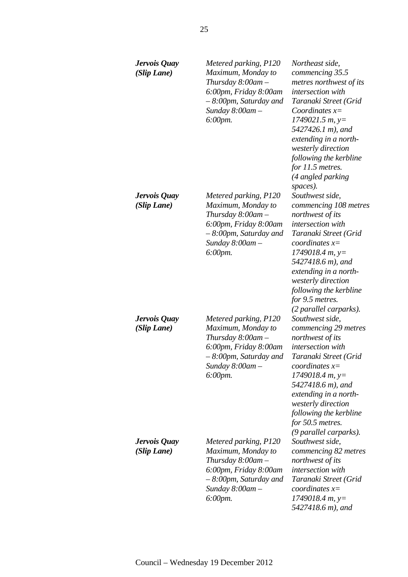| Jervois Quay<br>(Slip Lane) | Metered parking, P120<br>Maximum, Monday to<br>Thursday $8:00$ am $-$<br>6:00pm, Friday 8:00am<br>– 8:00pm, Saturday and<br>Sunday $8:00$ am $-$<br>6:00pm. | Northeast side,<br>commencing 35.5<br>metres northwest of its<br>intersection with<br>Taranaki Street (Grid<br>Coordinates $x=$<br>$1749021.5 m$ , y=<br>5427426.1 m), and<br>extending in a north-<br>westerly direction<br>following the kerbline<br>for 11.5 metres.<br>(4 angled parking<br>spaces). |
|-----------------------------|-------------------------------------------------------------------------------------------------------------------------------------------------------------|----------------------------------------------------------------------------------------------------------------------------------------------------------------------------------------------------------------------------------------------------------------------------------------------------------|
| Jervois Quay<br>(Slip Lane) | Metered parking, P120<br>Maximum, Monday to<br>Thursday $8:00$ am $-$<br>6:00pm, Friday 8:00am<br>– 8:00pm, Saturday and<br>Sunday $8:00$ am $-$<br>6:00pm. | Southwest side,<br>commencing 108 metres<br>northwest of its<br>intersection with<br>Taranaki Street (Grid<br>coordinates $x=$<br>$1749018.4 m, y=$<br>5427418.6 m), and<br>extending in a north-<br>westerly direction<br>following the kerbline<br>for 9.5 metres.<br>(2 parallel carparks).           |
| Jervois Quay<br>(Slip Lane) | Metered parking, P120<br>Maximum, Monday to<br>Thursday $8:00$ am $-$<br>6:00pm, Friday 8:00am<br>– 8:00pm, Saturday and<br>Sunday 8:00am -<br>$6:00$ pm.   | Southwest side,<br>commencing 29 metres<br>northwest of its<br>intersection with<br>Taranaki Street (Grid<br>coordinates $x=$<br>$1749018.4 m, y=$<br>5427418.6 m), and<br>extending in a north-<br>westerly direction<br>following the kerbline<br>for 50.5 metres.<br>(9 parallel carparks).           |
| Jervois Quay<br>(Slip Lane) | Metered parking, P120<br>Maximum, Monday to<br>Thursday $8:00$ am $-$<br>6:00pm, Friday 8:00am<br>– 8:00pm, Saturday and<br>Sunday $8:00$ am $-$<br>6:00pm. | Southwest side,<br>commencing 82 metres<br>northwest of its<br>intersection with<br>Taranaki Street (Grid<br>coordinates $x=$<br>$1749018.4 m, y=$<br>5427418.6 m), and                                                                                                                                  |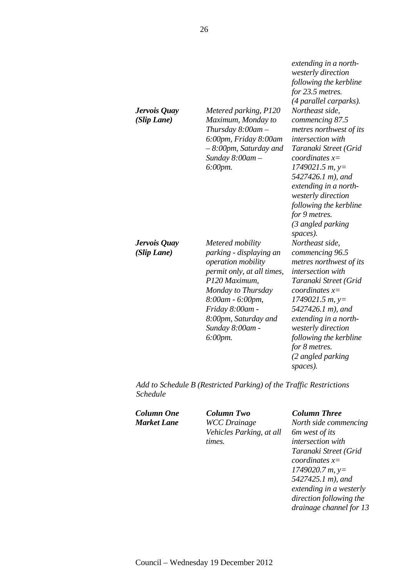| Jervois Quay<br>(Slip Lane) | Metered parking, P120<br>Maximum, Monday to<br>Thursday $8:00$ am $-$<br>6:00pm, Friday 8:00am<br>$-8.00$ pm, Saturday and<br>Sunday $8:00$ am $-$<br>$6:00$ pm.                                                                    | extending in a north-<br>westerly direction<br>following the kerbline<br>for 23.5 metres.<br>(4 parallel carparks).<br>Northeast side,<br>commencing 87.5<br>metres northwest of its<br>intersection with<br>Taranaki Street (Grid<br>coordinates $x=$<br>$1749021.5 m$ , y=<br>5427426.1 m), and<br>extending in a north-<br>westerly direction<br>following the kerbline<br>for 9 metres.<br>(3 angled parking |
|-----------------------------|-------------------------------------------------------------------------------------------------------------------------------------------------------------------------------------------------------------------------------------|------------------------------------------------------------------------------------------------------------------------------------------------------------------------------------------------------------------------------------------------------------------------------------------------------------------------------------------------------------------------------------------------------------------|
| Jervois Quay<br>(Slip Lane) | Metered mobility<br>parking - displaying an<br>operation mobility<br>permit only, at all times,<br>P120 Maximum,<br>Monday to Thursday<br>8:00am - 6:00pm,<br>Friday 8:00am -<br>8:00pm, Saturday and<br>Sunday 8:00am -<br>6:00pm. | spaces).<br>Northeast side,<br>commencing 96.5<br>metres northwest of its<br>intersection with<br>Taranaki Street (Grid<br>coordinates $x=$<br>$1749021.5 m$ , y=<br>5427426.1 m), and<br>extending in a north-<br>westerly direction<br>following the kerbline<br>for 8 metres.<br>(2 angled parking                                                                                                            |

*Add to Schedule B (Restricted Parking) of the Traffic Restrictions Schedule* 

*Column One Column Two Column Three Market Lane WCC Drainage Vehicles Parking, at all times.* 

*spaces).* 

*North side commencing 6m west of its intersection with Taranaki Street (Grid coordinates x= 1749020.7 m, y= 5427425.1 m), and extending in a westerly direction following the drainage channel for 13*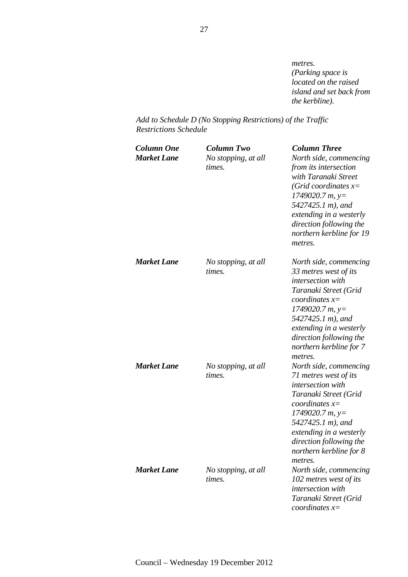*metres. (Parking space is located on the raised island and set back from the kerbline).* 

*Add to Schedule D (No Stopping Restrictions) of the Traffic Restrictions Schedule* 

| <b>Column One</b><br><b>Market Lane</b> | Column Two<br>No stopping, at all<br>times. | <b>Column Three</b><br>North side, commencing<br>from its intersection<br>with Taranaki Street<br>(Grid coordinates $x=$<br>$1749020.7 m$ , y=<br>5427425.1 m), and<br>extending in a westerly<br>direction following the<br>northern kerbline for 19<br>metres.    |
|-----------------------------------------|---------------------------------------------|---------------------------------------------------------------------------------------------------------------------------------------------------------------------------------------------------------------------------------------------------------------------|
| <b>Market Lane</b>                      | No stopping, at all<br>times.               | North side, commencing<br>33 metres west of its<br>intersection with<br>Taranaki Street (Grid<br>coordinates $x=$<br>$1749020.7 m$ , y=<br>5427425.1 m), and<br>extending in a westerly<br>direction following the<br>northern kerbline for 7                       |
| <b>Market Lane</b>                      | No stopping, at all<br>times.               | metres.<br>North side, commencing<br>71 metres west of its<br>intersection with<br>Taranaki Street (Grid<br>coordinates $x=$<br>$1749020.7 m$ , y=<br>5427425.1 m), and<br>extending in a westerly<br>direction following the<br>northern kerbline for 8<br>metres. |
| <b>Market Lane</b>                      | No stopping, at all<br>times.               | North side, commencing<br>102 metres west of its<br>intersection with<br>Taranaki Street (Grid<br>coordinates $x=$                                                                                                                                                  |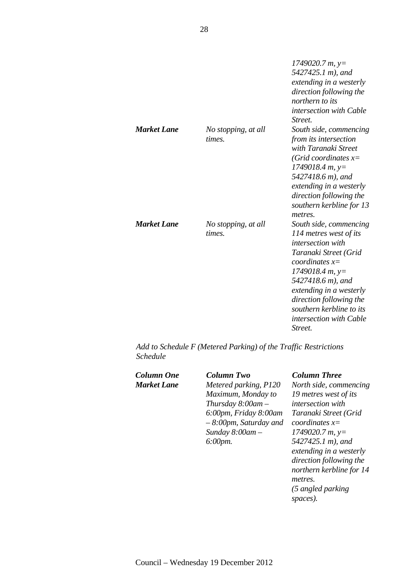|                    |                               | $1749020.7 m$ , y=<br>5427425.1 m), and<br>extending in a westerly<br>direction following the<br>northern to its<br>intersection with Cable<br>Street.                                                                                                                                |
|--------------------|-------------------------------|---------------------------------------------------------------------------------------------------------------------------------------------------------------------------------------------------------------------------------------------------------------------------------------|
| <b>Market Lane</b> | No stopping, at all           | South side, commencing                                                                                                                                                                                                                                                                |
|                    | times.                        | from its intersection<br>with Taranaki Street<br>(Grid coordinates $x=$<br>$1749018.4 m$ , y=<br>5427418.6 m), and<br>extending in a westerly<br>direction following the<br>southern kerbline for 13<br>metres.                                                                       |
| <b>Market Lane</b> | No stopping, at all<br>times. | South side, commencing<br>114 metres west of its<br>intersection with<br>Taranaki Street (Grid<br>coordinates $x=$<br>$1749018.4 m$ , y=<br>5427418.6 m), and<br>extending in a westerly<br>direction following the<br>southern kerbline to its<br>intersection with Cable<br>Street. |

*Add to Schedule F (Metered Parking) of the Traffic Restrictions Schedule* 

| Column One         |  |
|--------------------|--|
| <b>Market Lane</b> |  |

*Column One Column Two Column Three Metered parking, P120 Maximum, Monday to Thursday 8:00am – 6:00pm, Friday 8:00am – 8:00pm, Saturday and Sunday 8:00am – 6:00pm.* 

*North side, commencing 19 metres west of its intersection with Taranaki Street (Grid coordinates x= 1749020.7 m, y= 5427425.1 m), and extending in a westerly direction following the northern kerbline for 14 metres. (5 angled parking spaces).*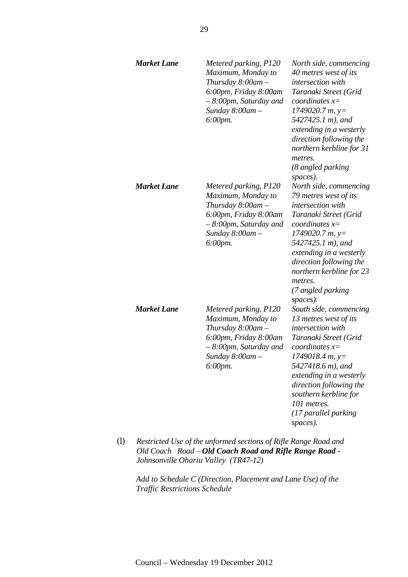| <b>Market Lane</b> | Metered parking, P120<br>Maximum, Monday to<br>Thursday $8:00$ am $-$<br>6:00pm, Friday 8:00am<br>– 8:00pm, Saturday and<br>Sunday 8:00am-<br>6:00pm.                                                                     | North side, commencing<br>40 metres west of its<br>intersection with<br>Taranaki Street (Grid<br>coordinates $x=$<br>$1749020.7 m$ , y=<br>5427425.1 m), and<br>extending in a westerly<br>direction following the<br>northern kerbline for 31<br>metres.<br>(8 angled parking<br>spaces).                 |
|--------------------|---------------------------------------------------------------------------------------------------------------------------------------------------------------------------------------------------------------------------|------------------------------------------------------------------------------------------------------------------------------------------------------------------------------------------------------------------------------------------------------------------------------------------------------------|
| Market Lane        | Metered parking, P120<br>Maximum, Monday to<br>Thursday $8:00$ am $-$<br>6:00pm, Friday 8:00am<br>– 8:00pm, Saturday and<br>Sunday $8:00$ am $-$<br>$6:00$ pm.                                                            | North side, commencing<br>79 metres west of its<br>intersection with<br>Taranaki Street (Grid<br>coordinates $x=$<br>$1749020.7 m$ , y=<br>5427425.1 m), and<br>extending in a westerly<br>direction following the<br>northern kerbline for 23<br>metres.<br>(7 angled parking                             |
| <b>Market Lane</b> | Metered parking, P120<br>Maximum, Monday to<br>Thursday 8:00am -<br>6:00pm, Friday 8:00am<br>- 8:00pm, Saturday and<br>Sunday $8:00$ am $-$<br>6:00pm.<br>Destricted Use of the unformed sections of Diffe Dance Dood and | spaces).<br>South side, commencing<br>13 metres west of its<br>intersection with<br>Taranaki Street (Grid<br>coordinates $x=$<br>$1749018.4 m$ , y=<br>5427418.6 m), and<br>extending in a westerly<br>direction following the<br>southern kerbline for<br>101 metres.<br>(17 parallel parking<br>spaces). |

*(l) Restricted Use of the unformed sections of Rifle Range Road and Old Coach Road – Old Coach Road and Rifle Range Road - Johnsonville Ohariu Valley (TR47-12)* 

*Add to Schedule C (Direction, Placement and Lane Use) of the Traffic Restrictions Schedule*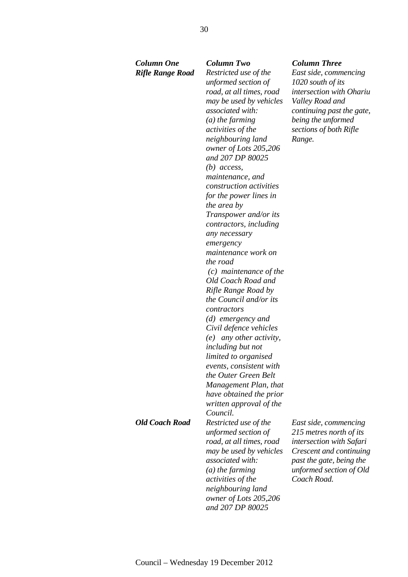# *Column One Column Two Column Three*

*Rifle Range Road Restricted use of the unformed section of road, at all times, road may be used by vehicles associated with: (a) the farming activities of the neighbouring land owner of Lots 205,206 and 207 DP 80025 (b) access, maintenance, and construction activities for the power lines in the area by Transpower and/or its contractors, including any necessary emergency maintenance work on the road (c) maintenance of the Old Coach Road and Rifle Range Road by the Council and/or its contractors (d) emergency and Civil defence vehicles (e) any other activity, including but not limited to organised events, consistent with the Outer Green Belt Management Plan, that have obtained the prior written approval of the Council. Old Coach Road Restricted use of the unformed section of road, at all times, road may be used by vehicles associated with: (a) the farming activities of the neighbouring land owner of Lots 205,206 and 207 DP 80025* 

*East side, commencing 1020 south of its intersection with Ohariu Valley Road and continuing past the gate, being the unformed sections of both Rifle Range.* 

*East side, commencing 215 metres north of its intersection with Safari Crescent and continuing past the gate, being the unformed section of Old Coach Road.*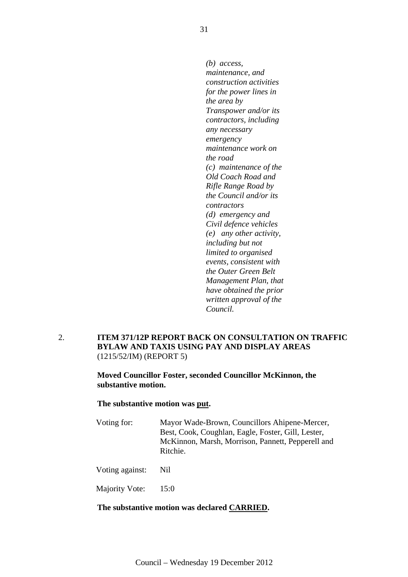*(b) access, maintenance, and construction activities for the power lines in the area by Transpower and/or its contractors, including any necessary emergency maintenance work on the road (c) maintenance of the Old Coach Road and Rifle Range Road by the Council and/or its contractors (d) emergency and Civil defence vehicles (e) any other activity, including but not limited to organised events, consistent with the Outer Green Belt Management Plan, that have obtained the prior written approval of the Council.*

2. **ITEM 371/12P REPORT BACK ON CONSULTATION ON TRAFFIC BYLAW AND TAXIS USING PAY AND DISPLAY AREAS**  (1215/52/IM) (REPORT 5)

> **Moved Councillor Foster, seconded Councillor McKinnon, the substantive motion.**

**The substantive motion was put.** 

Voting for: Mayor Wade-Brown, Councillors Ahipene-Mercer, Best, Cook, Coughlan, Eagle, Foster, Gill, Lester, McKinnon, Marsh, Morrison, Pannett, Pepperell and Ritchie.

Voting against: Nil

Majority Vote: 15:0

### **The substantive motion was declared CARRIED.**

31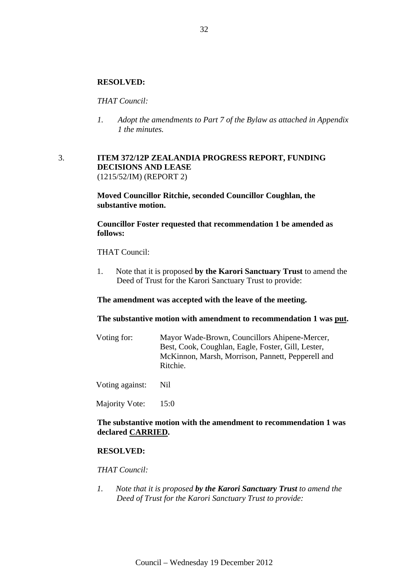### **RESOLVED:**

### *THAT Council:*

*1. Adopt the amendments to Part 7 of the Bylaw as attached in Appendix 1 the minutes.* 

### 3. **ITEM 372/12P ZEALANDIA PROGRESS REPORT, FUNDING DECISIONS AND LEASE**  (1215/52/IM) (REPORT 2)

**Moved Councillor Ritchie, seconded Councillor Coughlan, the substantive motion.** 

**Councillor Foster requested that recommendation 1 be amended as follows:** 

THAT Council:

1. Note that it is proposed **by the Karori Sanctuary Trust** to amend the Deed of Trust for the Karori Sanctuary Trust to provide:

**The amendment was accepted with the leave of the meeting.** 

**The substantive motion with amendment to recommendation 1 was put.** 

| Mayor Wade-Brown, Councillors Ahipene-Mercer,      |
|----------------------------------------------------|
| Best, Cook, Coughlan, Eagle, Foster, Gill, Lester, |
| McKinnon, Marsh, Morrison, Pannett, Pepperell and  |
| Ritchie.                                           |
|                                                    |

Voting against: Nil

Majority Vote: 15:0

### **The substantive motion with the amendment to recommendation 1 was declared CARRIED.**

### **RESOLVED:**

### *THAT Council:*

*1. Note that it is proposed by the Karori Sanctuary Trust to amend the Deed of Trust for the Karori Sanctuary Trust to provide:*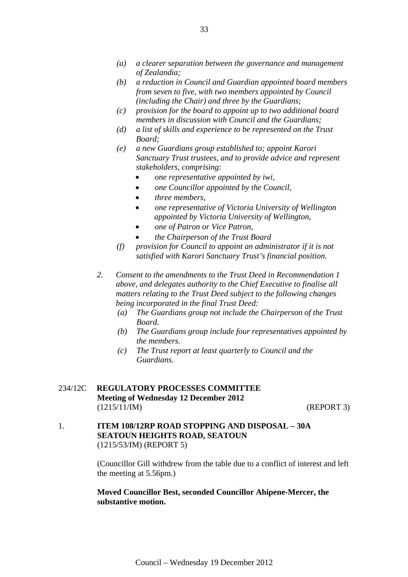- *(a) a clearer separation between the governance and management of Zealandia;*
- *(b) a reduction in Council and Guardian appointed board members from seven to five, with two members appointed by Council (including the Chair) and three by the Guardians;*
- *(c) provision for the board to appoint up to two additional board members in discussion with Council and the Guardians;*
- *(d) a list of skills and experience to be represented on the Trust Board;*
- *(e) a new Guardians group established to; appoint Karori Sanctuary Trust trustees, and to provide advice and represent stakeholders, comprising:* 
	- *one representative appointed by iwi,*
	- *one Councillor appointed by the Council,*
	- *three members,*
	- *one representative of Victoria University of Wellington appointed by Victoria University of Wellington,*
	- *one of Patron or Vice Patron,*
	- *the Chairperson of the Trust Board*
- *(f) provision for Council to appoint an administrator if it is not satisfied with Karori Sanctuary Trust's financial position.*
- *2. Consent to the amendments to the Trust Deed in Recommendation 1 above, and delegates authority to the Chief Executive to finalise all matters relating to the Trust Deed subject to the following changes being incorporated in the final Trust Deed:* 
	- *(a) The Guardians group not include the Chairperson of the Trust Board.*
	- *(b) The Guardians group include four representatives appointed by the members.*
	- *(c) The Trust report at least quarterly to Council and the Guardians.*
- 234/12C **REGULATORY PROCESSES COMMITTEE Meeting of Wednesday 12 December 2012**  (1215/11/IM) (REPORT 3)

1. **ITEM 108/12RP ROAD STOPPING AND DISPOSAL – 30A SEATOUN HEIGHTS ROAD, SEATOUN** (1215/53/IM) (REPORT 5)

> (Councillor Gill withdrew from the table due to a conflict of interest and left the meeting at 5.56pm.)

### **Moved Councillor Best, seconded Councillor Ahipene-Mercer, the substantive motion.**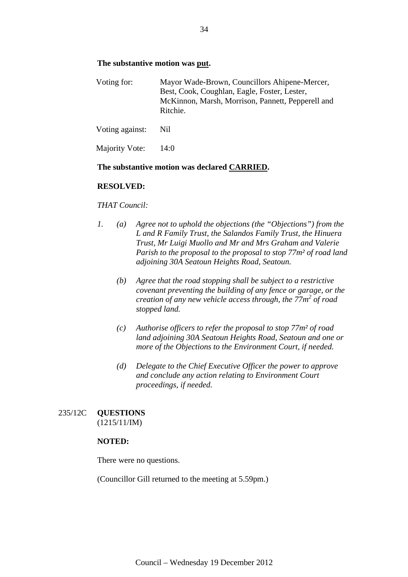### **The substantive motion was put.**

| Voting for: | Mayor Wade-Brown, Councillors Ahipene-Mercer,     |
|-------------|---------------------------------------------------|
|             | Best, Cook, Coughlan, Eagle, Foster, Lester,      |
|             | McKinnon, Marsh, Morrison, Pannett, Pepperell and |
|             | Ritchie.                                          |

Voting against: Nil

Majority Vote: 14:0

### **The substantive motion was declared CARRIED.**

### **RESOLVED:**

### *THAT Council:*

- *1. (a) Agree not to uphold the objections (the "Objections") from the L and R Family Trust, the Salandos Family Trust, the Hinuera Trust, Mr Luigi Muollo and Mr and Mrs Graham and Valerie Parish to the proposal to the proposal to stop 77m² of road land adjoining 30A Seatoun Heights Road, Seatoun.* 
	- *(b) Agree that the road stopping shall be subject to a restrictive covenant preventing the building of any fence or garage, or the creation of any new vehicle access through, the 77m2 of road stopped land.*
	- *(c) Authorise officers to refer the proposal to stop 77m² of road land adjoining 30A Seatoun Heights Road, Seatoun and one or more of the Objections to the Environment Court, if needed.*
	- *(d) Delegate to the Chief Executive Officer the power to approve and conclude any action relating to Environment Court proceedings, if needed.*

## 235/12C **QUESTIONS**  (1215/11/IM)

### **NOTED:**

There were no questions.

(Councillor Gill returned to the meeting at 5.59pm.)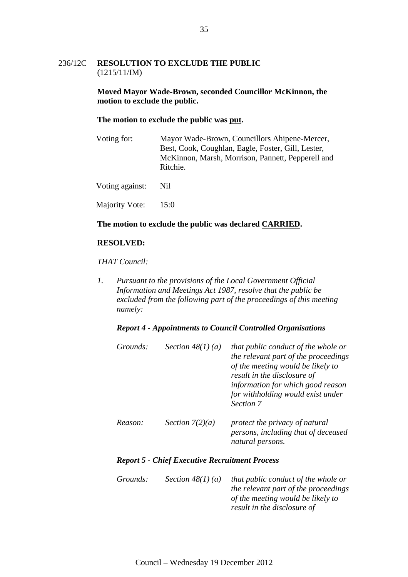### 236/12C **RESOLUTION TO EXCLUDE THE PUBLIC** (1215/11/IM)

### **Moved Mayor Wade-Brown, seconded Councillor McKinnon, the motion to exclude the public.**

### **The motion to exclude the public was put.**

| Voting for:     | Mayor Wade-Brown, Councillors Ahipene-Mercer,<br>Best, Cook, Coughlan, Eagle, Foster, Gill, Lester,<br>McKinnon, Marsh, Morrison, Pannett, Pepperell and<br>Ritchie. |  |
|-----------------|----------------------------------------------------------------------------------------------------------------------------------------------------------------------|--|
| Voting against: | Nil.                                                                                                                                                                 |  |

Majority Vote: 15:0

### **The motion to exclude the public was declared CARRIED.**

### **RESOLVED:**

### *THAT Council:*

*1. Pursuant to the provisions of the Local Government Official Information and Meetings Act 1987, resolve that the public be excluded from the following part of the proceedings of this meeting namely:* 

### *Report 4 - Appointments to Council Controlled Organisations*

| Grounds: | Section $48(1)(a)$ | that public conduct of the whole or<br>the relevant part of the proceedings<br>of the meeting would be likely to<br>result in the disclosure of<br>information for which good reason<br>for withholding would exist under<br>Section 7 |
|----------|--------------------|----------------------------------------------------------------------------------------------------------------------------------------------------------------------------------------------------------------------------------------|
| Reason:  | Section $7(2)(a)$  | protect the privacy of natural<br>persons, including that of deceased<br>natural persons.                                                                                                                                              |

### *Report 5 - Chief Executive Recruitment Process*

| <i>Grounds:</i> | Section $48(1)(a)$ | that public conduct of the whole or  |
|-----------------|--------------------|--------------------------------------|
|                 |                    | the relevant part of the proceedings |
|                 |                    | of the meeting would be likely to    |
|                 |                    | result in the disclosure of          |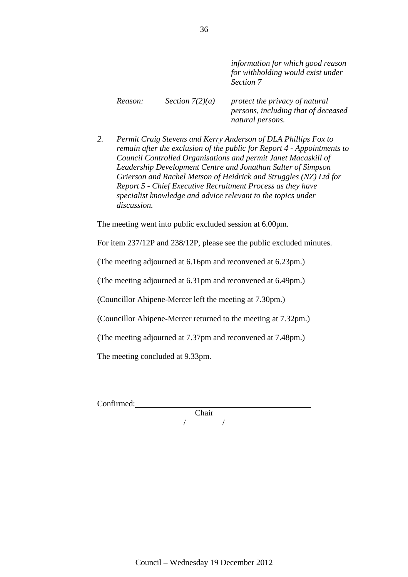*information for which good reason for withholding would exist under Section 7 Reason: Section 7(2)(a) protect the privacy of natural persons, including that of deceased natural persons.* 

*2. Permit Craig Stevens and Kerry Anderson of DLA Phillips Fox to remain after the exclusion of the public for Report 4 - Appointments to Council Controlled Organisations and permit Janet Macaskill of Leadership Development Centre and Jonathan Salter of Simpson Grierson and Rachel Metson of Heidrick and Struggles (NZ) Ltd for Report 5 - Chief Executive Recruitment Process as they have specialist knowledge and advice relevant to the topics under discussion.* 

The meeting went into public excluded session at 6.00pm.

For item 237/12P and 238/12P, please see the public excluded minutes.

(The meeting adjourned at 6.16pm and reconvened at 6.23pm.)

(The meeting adjourned at 6.31pm and reconvened at 6.49pm.)

(Councillor Ahipene-Mercer left the meeting at 7.30pm.)

(Councillor Ahipene-Mercer returned to the meeting at 7.32pm.)

(The meeting adjourned at 7.37pm and reconvened at 7.48pm.)

The meeting concluded at 9.33pm.

Confirmed:

Chair / /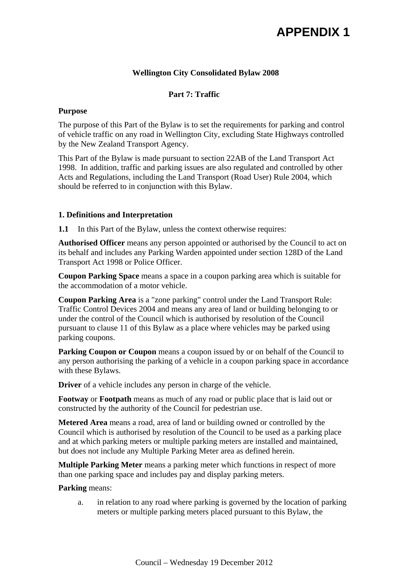# **APPENDIX 1**

### **Wellington City Consolidated Bylaw 2008**

### **Part 7: Traffic**

### **Purpose**

The purpose of this Part of the Bylaw is to set the requirements for parking and control of vehicle traffic on any road in Wellington City, excluding State Highways controlled by the New Zealand Transport Agency.

This Part of the Bylaw is made pursuant to section 22AB of the Land Transport Act 1998. In addition, traffic and parking issues are also regulated and controlled by other Acts and Regulations, including the Land Transport (Road User) Rule 2004, which should be referred to in conjunction with this Bylaw.

### **1. Definitions and Interpretation**

**1.1** In this Part of the Bylaw, unless the context otherwise requires:

**Authorised Officer** means any person appointed or authorised by the Council to act on its behalf and includes any Parking Warden appointed under section 128D of the Land Transport Act 1998 or Police Officer.

**Coupon Parking Space** means a space in a coupon parking area which is suitable for the accommodation of a motor vehicle.

**Coupon Parking Area** is a "zone parking" control under the Land Transport Rule: Traffic Control Devices 2004 and means any area of land or building belonging to or under the control of the Council which is authorised by resolution of the Council pursuant to clause 11 of this Bylaw as a place where vehicles may be parked using parking coupons.

**Parking Coupon or Coupon** means a coupon issued by or on behalf of the Council to any person authorising the parking of a vehicle in a coupon parking space in accordance with these Bylaws.

**Driver** of a vehicle includes any person in charge of the vehicle.

**Footway** or **Footpath** means as much of any road or public place that is laid out or constructed by the authority of the Council for pedestrian use.

**Metered Area** means a road, area of land or building owned or controlled by the Council which is authorised by resolution of the Council to be used as a parking place and at which parking meters or multiple parking meters are installed and maintained, but does not include any Multiple Parking Meter area as defined herein.

**Multiple Parking Meter** means a parking meter which functions in respect of more than one parking space and includes pay and display parking meters.

### **Parking** means:

a. in relation to any road where parking is governed by the location of parking meters or multiple parking meters placed pursuant to this Bylaw, the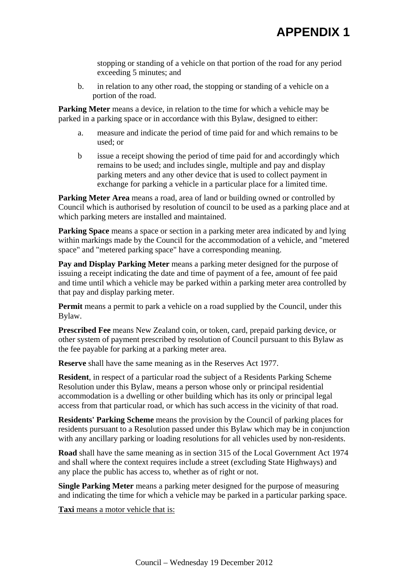stopping or standing of a vehicle on that portion of the road for any period exceeding 5 minutes; and

b. in relation to any other road, the stopping or standing of a vehicle on a portion of the road.

**Parking Meter** means a device, in relation to the time for which a vehicle may be parked in a parking space or in accordance with this Bylaw, designed to either:

- a. measure and indicate the period of time paid for and which remains to be used; or
- b issue a receipt showing the period of time paid for and accordingly which remains to be used; and includes single, multiple and pay and display parking meters and any other device that is used to collect payment in exchange for parking a vehicle in a particular place for a limited time.

**Parking Meter Area** means a road, area of land or building owned or controlled by Council which is authorised by resolution of council to be used as a parking place and at which parking meters are installed and maintained.

**Parking Space** means a space or section in a parking meter area indicated by and lying within markings made by the Council for the accommodation of a vehicle, and "metered space" and "metered parking space" have a corresponding meaning.

**Pay and Display Parking Meter** means a parking meter designed for the purpose of issuing a receipt indicating the date and time of payment of a fee, amount of fee paid and time until which a vehicle may be parked within a parking meter area controlled by that pay and display parking meter.

**Permit** means a permit to park a vehicle on a road supplied by the Council, under this Bylaw.

**Prescribed Fee** means New Zealand coin, or token, card, prepaid parking device, or other system of payment prescribed by resolution of Council pursuant to this Bylaw as the fee payable for parking at a parking meter area.

**Reserve** shall have the same meaning as in the Reserves Act 1977.

**Resident**, in respect of a particular road the subject of a Residents Parking Scheme Resolution under this Bylaw, means a person whose only or principal residential accommodation is a dwelling or other building which has its only or principal legal access from that particular road, or which has such access in the vicinity of that road.

**Residents' Parking Scheme** means the provision by the Council of parking places for residents pursuant to a Resolution passed under this Bylaw which may be in conjunction with any ancillary parking or loading resolutions for all vehicles used by non-residents.

**Road** shall have the same meaning as in section 315 of the Local Government Act 1974 and shall where the context requires include a street (excluding State Highways) and any place the public has access to, whether as of right or not.

**Single Parking Meter** means a parking meter designed for the purpose of measuring and indicating the time for which a vehicle may be parked in a particular parking space.

**Taxi** means a motor vehicle that is: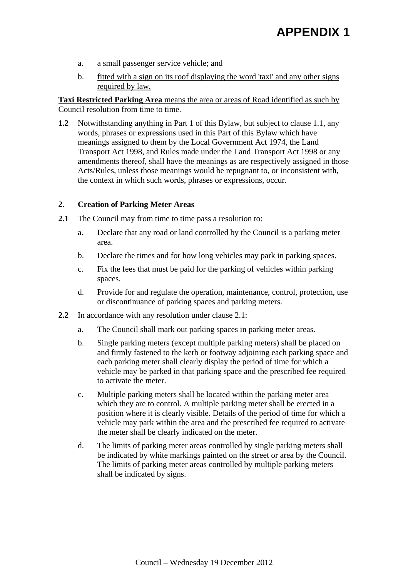# **APPENDIX 1**

- a. a small passenger service vehicle; and
- b. fitted with a sign on its roof displaying the word 'taxi' and any other signs required by law.

**Taxi Restricted Parking Area** means the area or areas of Road identified as such by Council resolution from time to time.

**1.2** Notwithstanding anything in Part 1 of this Bylaw, but subject to clause 1.1, any words, phrases or expressions used in this Part of this Bylaw which have meanings assigned to them by the Local Government Act 1974, the Land Transport Act 1998, and Rules made under the Land Transport Act 1998 or any amendments thereof, shall have the meanings as are respectively assigned in those Acts/Rules, unless those meanings would be repugnant to, or inconsistent with, the context in which such words, phrases or expressions, occur.

### **2. Creation of Parking Meter Areas**

- **2.1** The Council may from time to time pass a resolution to:
	- a. Declare that any road or land controlled by the Council is a parking meter area.
	- b. Declare the times and for how long vehicles may park in parking spaces.
	- c. Fix the fees that must be paid for the parking of vehicles within parking spaces.
	- d. Provide for and regulate the operation, maintenance, control, protection, use or discontinuance of parking spaces and parking meters.
- **2.2** In accordance with any resolution under clause 2.1:
	- a. The Council shall mark out parking spaces in parking meter areas.
	- b. Single parking meters (except multiple parking meters) shall be placed on and firmly fastened to the kerb or footway adjoining each parking space and each parking meter shall clearly display the period of time for which a vehicle may be parked in that parking space and the prescribed fee required to activate the meter.
	- c. Multiple parking meters shall be located within the parking meter area which they are to control. A multiple parking meter shall be erected in a position where it is clearly visible. Details of the period of time for which a vehicle may park within the area and the prescribed fee required to activate the meter shall be clearly indicated on the meter.
	- d. The limits of parking meter areas controlled by single parking meters shall be indicated by white markings painted on the street or area by the Council. The limits of parking meter areas controlled by multiple parking meters shall be indicated by signs.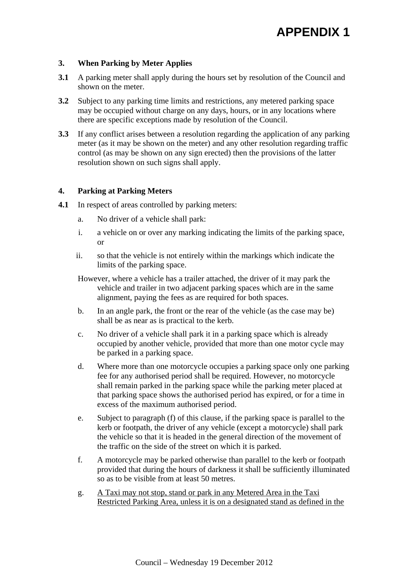### **3. When Parking by Meter Applies**

- **3.1** A parking meter shall apply during the hours set by resolution of the Council and shown on the meter.
- **3.2** Subject to any parking time limits and restrictions, any metered parking space may be occupied without charge on any days, hours, or in any locations where there are specific exceptions made by resolution of the Council.
- **3.3** If any conflict arises between a resolution regarding the application of any parking meter (as it may be shown on the meter) and any other resolution regarding traffic control (as may be shown on any sign erected) then the provisions of the latter resolution shown on such signs shall apply.

### **4. Parking at Parking Meters**

- **4.1** In respect of areas controlled by parking meters:
	- a. No driver of a vehicle shall park:
	- i. a vehicle on or over any marking indicating the limits of the parking space, or
	- ii. so that the vehicle is not entirely within the markings which indicate the limits of the parking space.
	- However, where a vehicle has a trailer attached, the driver of it may park the vehicle and trailer in two adjacent parking spaces which are in the same alignment, paying the fees as are required for both spaces.
	- b. In an angle park, the front or the rear of the vehicle (as the case may be) shall be as near as is practical to the kerb.
	- c. No driver of a vehicle shall park it in a parking space which is already occupied by another vehicle, provided that more than one motor cycle may be parked in a parking space.
	- d. Where more than one motorcycle occupies a parking space only one parking fee for any authorised period shall be required. However, no motorcycle shall remain parked in the parking space while the parking meter placed at that parking space shows the authorised period has expired, or for a time in excess of the maximum authorised period.
	- e. Subject to paragraph (f) of this clause, if the parking space is parallel to the kerb or footpath, the driver of any vehicle (except a motorcycle) shall park the vehicle so that it is headed in the general direction of the movement of the traffic on the side of the street on which it is parked.
	- f. A motorcycle may be parked otherwise than parallel to the kerb or footpath provided that during the hours of darkness it shall be sufficiently illuminated so as to be visible from at least 50 metres.
	- g. A Taxi may not stop, stand or park in any Metered Area in the Taxi Restricted Parking Area, unless it is on a designated stand as defined in the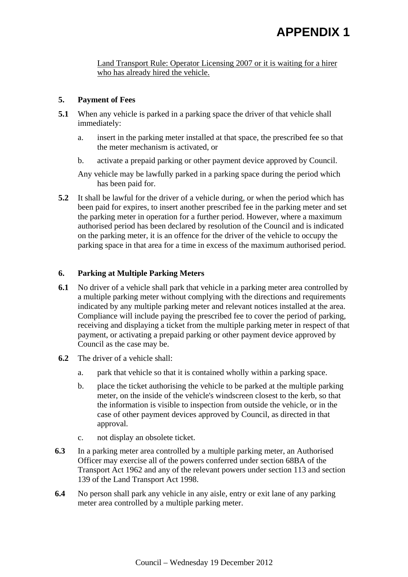Land Transport Rule: Operator Licensing 2007 or it is waiting for a hirer who has already hired the vehicle.

### **5. Payment of Fees**

- **5.1** When any vehicle is parked in a parking space the driver of that vehicle shall immediately:
	- a. insert in the parking meter installed at that space, the prescribed fee so that the meter mechanism is activated, or
	- b. activate a prepaid parking or other payment device approved by Council.

Any vehicle may be lawfully parked in a parking space during the period which has been paid for.

**5.2** It shall be lawful for the driver of a vehicle during, or when the period which has been paid for expires, to insert another prescribed fee in the parking meter and set the parking meter in operation for a further period. However, where a maximum authorised period has been declared by resolution of the Council and is indicated on the parking meter, it is an offence for the driver of the vehicle to occupy the parking space in that area for a time in excess of the maximum authorised period.

### **6. Parking at Multiple Parking Meters**

- **6.1** No driver of a vehicle shall park that vehicle in a parking meter area controlled by a multiple parking meter without complying with the directions and requirements indicated by any multiple parking meter and relevant notices installed at the area. Compliance will include paying the prescribed fee to cover the period of parking, receiving and displaying a ticket from the multiple parking meter in respect of that payment, or activating a prepaid parking or other payment device approved by Council as the case may be.
- **6.2** The driver of a vehicle shall:
	- a. park that vehicle so that it is contained wholly within a parking space.
	- b. place the ticket authorising the vehicle to be parked at the multiple parking meter, on the inside of the vehicle's windscreen closest to the kerb, so that the information is visible to inspection from outside the vehicle, or in the case of other payment devices approved by Council, as directed in that approval.
	- c. not display an obsolete ticket.
- **6.3** In a parking meter area controlled by a multiple parking meter, an Authorised Officer may exercise all of the powers conferred under section 68BA of the Transport Act 1962 and any of the relevant powers under section 113 and section 139 of the Land Transport Act 1998.
- **6.4** No person shall park any vehicle in any aisle, entry or exit lane of any parking meter area controlled by a multiple parking meter.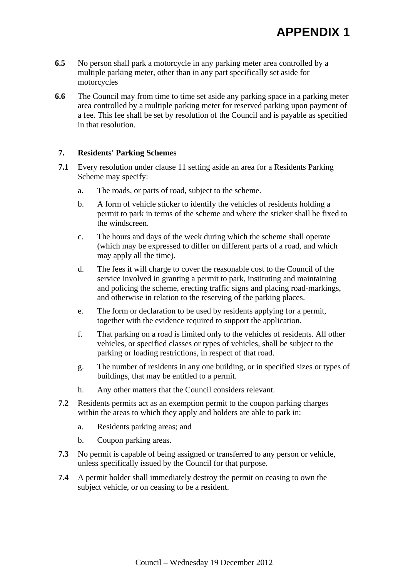- **6.5** No person shall park a motorcycle in any parking meter area controlled by a multiple parking meter, other than in any part specifically set aside for motorcycles
- **6.6** The Council may from time to time set aside any parking space in a parking meter area controlled by a multiple parking meter for reserved parking upon payment of a fee. This fee shall be set by resolution of the Council and is payable as specified in that resolution.

### **7. Residents' Parking Schemes**

- **7.1** Every resolution under clause 11 setting aside an area for a Residents Parking Scheme may specify:
	- a. The roads, or parts of road, subject to the scheme.
	- b. A form of vehicle sticker to identify the vehicles of residents holding a permit to park in terms of the scheme and where the sticker shall be fixed to the windscreen.
	- c. The hours and days of the week during which the scheme shall operate (which may be expressed to differ on different parts of a road, and which may apply all the time).
	- d. The fees it will charge to cover the reasonable cost to the Council of the service involved in granting a permit to park, instituting and maintaining and policing the scheme, erecting traffic signs and placing road-markings, and otherwise in relation to the reserving of the parking places.
	- e. The form or declaration to be used by residents applying for a permit, together with the evidence required to support the application.
	- f. That parking on a road is limited only to the vehicles of residents. All other vehicles, or specified classes or types of vehicles, shall be subject to the parking or loading restrictions, in respect of that road.
	- g. The number of residents in any one building, or in specified sizes or types of buildings, that may be entitled to a permit.
	- h. Any other matters that the Council considers relevant.
- **7.2** Residents permits act as an exemption permit to the coupon parking charges within the areas to which they apply and holders are able to park in:
	- a. Residents parking areas; and
	- b. Coupon parking areas.
- **7.3** No permit is capable of being assigned or transferred to any person or vehicle, unless specifically issued by the Council for that purpose.
- **7.4** A permit holder shall immediately destroy the permit on ceasing to own the subject vehicle, or on ceasing to be a resident.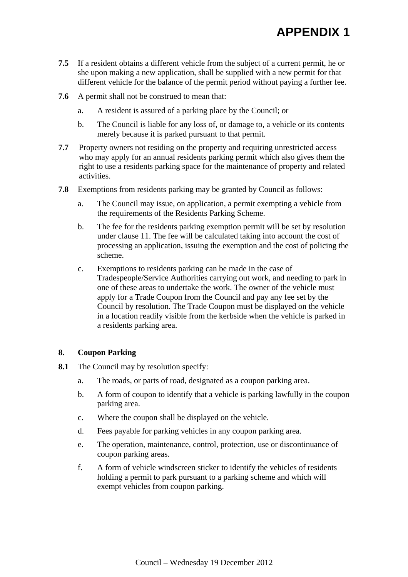- **7.5** If a resident obtains a different vehicle from the subject of a current permit, he or she upon making a new application, shall be supplied with a new permit for that different vehicle for the balance of the permit period without paying a further fee.
- **7.6** A permit shall not be construed to mean that:
	- a. A resident is assured of a parking place by the Council; or
	- b. The Council is liable for any loss of, or damage to, a vehicle or its contents merely because it is parked pursuant to that permit.
- **7.7** Property owners not residing on the property and requiring unrestricted access who may apply for an annual residents parking permit which also gives them the right to use a residents parking space for the maintenance of property and related activities.
- **7.8** Exemptions from residents parking may be granted by Council as follows:
	- a. The Council may issue, on application, a permit exempting a vehicle from the requirements of the Residents Parking Scheme.
	- b. The fee for the residents parking exemption permit will be set by resolution under clause 11. The fee will be calculated taking into account the cost of processing an application, issuing the exemption and the cost of policing the scheme.
	- c. Exemptions to residents parking can be made in the case of Tradespeople/Service Authorities carrying out work, and needing to park in one of these areas to undertake the work. The owner of the vehicle must apply for a Trade Coupon from the Council and pay any fee set by the Council by resolution. The Trade Coupon must be displayed on the vehicle in a location readily visible from the kerbside when the vehicle is parked in a residents parking area.

### **8. Coupon Parking**

- **8.1** The Council may by resolution specify:
	- a. The roads, or parts of road, designated as a coupon parking area.
	- b. A form of coupon to identify that a vehicle is parking lawfully in the coupon parking area.
	- c. Where the coupon shall be displayed on the vehicle.
	- d. Fees payable for parking vehicles in any coupon parking area.
	- e. The operation, maintenance, control, protection, use or discontinuance of coupon parking areas.
	- f. A form of vehicle windscreen sticker to identify the vehicles of residents holding a permit to park pursuant to a parking scheme and which will exempt vehicles from coupon parking.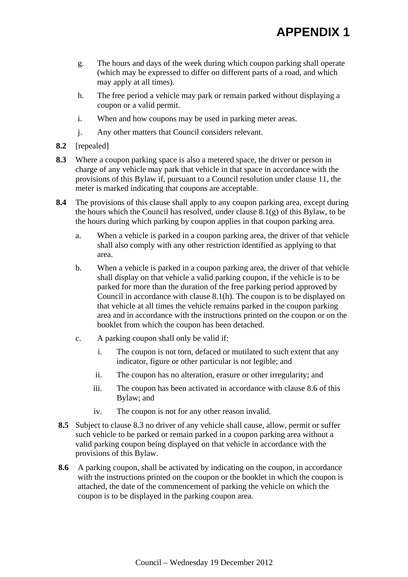- g. The hours and days of the week during which coupon parking shall operate (which may be expressed to differ on different parts of a road, and which may apply at all times).
- h. The free period a vehicle may park or remain parked without displaying a coupon or a valid permit.
- i. When and how coupons may be used in parking meter areas.
- j. Any other matters that Council considers relevant.
- **8.2** [repealed]
- **8.3** Where a coupon parking space is also a metered space, the driver or person in charge of any vehicle may park that vehicle in that space in accordance with the provisions of this Bylaw if, pursuant to a Council resolution under clause 11, the meter is marked indicating that coupons are acceptable.
- **8.4** The provisions of this clause shall apply to any coupon parking area, except during the hours which the Council has resolved, under clause 8.1(g) of this Bylaw, to be the hours during which parking by coupon applies in that coupon parking area.
	- a. When a vehicle is parked in a coupon parking area, the driver of that vehicle shall also comply with any other restriction identified as applying to that area.
	- b. When a vehicle is parked in a coupon parking area, the driver of that vehicle shall display on that vehicle a valid parking coupon, if the vehicle is to be parked for more than the duration of the free parking period approved by Council in accordance with clause 8.1(h). The coupon is to be displayed on that vehicle at all times the vehicle remains parked in the coupon parking area and in accordance with the instructions printed on the coupon or on the booklet from which the coupon has been detached.
	- c. A parking coupon shall only be valid if:
		- i. The coupon is not torn, defaced or mutilated to such extent that any indicator, figure or other particular is not legible; and
		- ii. The coupon has no alteration, erasure or other irregularity; and
		- iii. The coupon has been activated in accordance with clause 8.6 of this Bylaw; and
		- iv. The coupon is not for any other reason invalid.
- **8.5** Subject to clause 8.3 no driver of any vehicle shall cause, allow, permit or suffer such vehicle to be parked or remain parked in a coupon parking area without a valid parking coupon being displayed on that vehicle in accordance with the provisions of this Bylaw.
- **8.6** A parking coupon, shall be activated by indicating on the coupon, in accordance with the instructions printed on the coupon or the booklet in which the coupon is attached, the date of the commencement of parking the vehicle on which the coupon is to be displayed in the parking coupon area.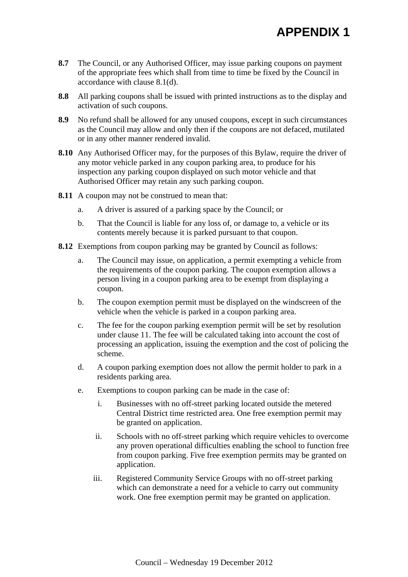- **8.7** The Council, or any Authorised Officer, may issue parking coupons on payment of the appropriate fees which shall from time to time be fixed by the Council in accordance with clause 8.1(d).
- **8.8** All parking coupons shall be issued with printed instructions as to the display and activation of such coupons.
- **8.9** No refund shall be allowed for any unused coupons, except in such circumstances as the Council may allow and only then if the coupons are not defaced, mutilated or in any other manner rendered invalid.
- **8.10** Any Authorised Officer may, for the purposes of this Bylaw, require the driver of any motor vehicle parked in any coupon parking area, to produce for his inspection any parking coupon displayed on such motor vehicle and that Authorised Officer may retain any such parking coupon.
- **8.11** A coupon may not be construed to mean that:
	- a. A driver is assured of a parking space by the Council; or
	- b. That the Council is liable for any loss of, or damage to, a vehicle or its contents merely because it is parked pursuant to that coupon.
- **8.12** Exemptions from coupon parking may be granted by Council as follows:
	- a. The Council may issue, on application, a permit exempting a vehicle from the requirements of the coupon parking. The coupon exemption allows a person living in a coupon parking area to be exempt from displaying a coupon.
	- b. The coupon exemption permit must be displayed on the windscreen of the vehicle when the vehicle is parked in a coupon parking area.
	- c. The fee for the coupon parking exemption permit will be set by resolution under clause 11. The fee will be calculated taking into account the cost of processing an application, issuing the exemption and the cost of policing the scheme.
	- d. A coupon parking exemption does not allow the permit holder to park in a residents parking area.
	- e. Exemptions to coupon parking can be made in the case of:
		- i. Businesses with no off-street parking located outside the metered Central District time restricted area. One free exemption permit may be granted on application.
		- ii. Schools with no off-street parking which require vehicles to overcome any proven operational difficulties enabling the school to function free from coupon parking. Five free exemption permits may be granted on application.
		- iii. Registered Community Service Groups with no off-street parking which can demonstrate a need for a vehicle to carry out community work. One free exemption permit may be granted on application.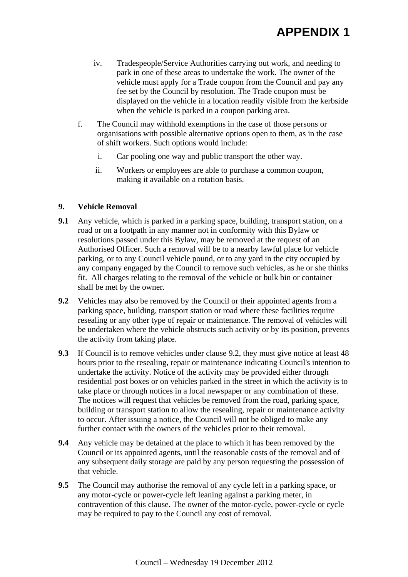- iv. Tradespeople/Service Authorities carrying out work, and needing to park in one of these areas to undertake the work. The owner of the vehicle must apply for a Trade coupon from the Council and pay any fee set by the Council by resolution. The Trade coupon must be displayed on the vehicle in a location readily visible from the kerbside when the vehicle is parked in a coupon parking area.
- f. The Council may withhold exemptions in the case of those persons or organisations with possible alternative options open to them, as in the case of shift workers. Such options would include:
	- i. Car pooling one way and public transport the other way.
	- ii. Workers or employees are able to purchase a common coupon, making it available on a rotation basis.

### **9. Vehicle Removal**

- **9.1** Any vehicle, which is parked in a parking space, building, transport station, on a road or on a footpath in any manner not in conformity with this Bylaw or resolutions passed under this Bylaw, may be removed at the request of an Authorised Officer. Such a removal will be to a nearby lawful place for vehicle parking, or to any Council vehicle pound, or to any yard in the city occupied by any company engaged by the Council to remove such vehicles, as he or she thinks fit. All charges relating to the removal of the vehicle or bulk bin or container shall be met by the owner.
- **9.2** Vehicles may also be removed by the Council or their appointed agents from a parking space, building, transport station or road where these facilities require resealing or any other type of repair or maintenance. The removal of vehicles will be undertaken where the vehicle obstructs such activity or by its position, prevents the activity from taking place.
- **9.3** If Council is to remove vehicles under clause 9.2, they must give notice at least 48 hours prior to the resealing, repair or maintenance indicating Council's intention to undertake the activity. Notice of the activity may be provided either through residential post boxes or on vehicles parked in the street in which the activity is to take place or through notices in a local newspaper or any combination of these. The notices will request that vehicles be removed from the road, parking space, building or transport station to allow the resealing, repair or maintenance activity to occur. After issuing a notice, the Council will not be obliged to make any further contact with the owners of the vehicles prior to their removal.
- **9.4** Any vehicle may be detained at the place to which it has been removed by the Council or its appointed agents, until the reasonable costs of the removal and of any subsequent daily storage are paid by any person requesting the possession of that vehicle.
- **9.5** The Council may authorise the removal of any cycle left in a parking space, or any motor-cycle or power-cycle left leaning against a parking meter, in contravention of this clause. The owner of the motor-cycle, power-cycle or cycle may be required to pay to the Council any cost of removal.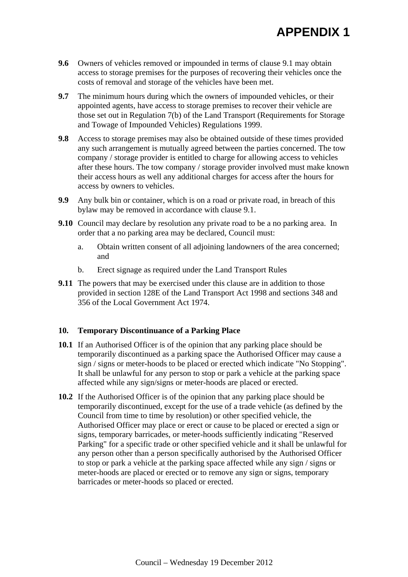# **APPENDIX 1**

- **9.6** Owners of vehicles removed or impounded in terms of clause 9.1 may obtain access to storage premises for the purposes of recovering their vehicles once the costs of removal and storage of the vehicles have been met.
- **9.7** The minimum hours during which the owners of impounded vehicles, or their appointed agents, have access to storage premises to recover their vehicle are those set out in Regulation 7(b) of the Land Transport (Requirements for Storage and Towage of Impounded Vehicles) Regulations 1999.
- **9.8** Access to storage premises may also be obtained outside of these times provided any such arrangement is mutually agreed between the parties concerned. The tow company / storage provider is entitled to charge for allowing access to vehicles after these hours. The tow company / storage provider involved must make known their access hours as well any additional charges for access after the hours for access by owners to vehicles.
- **9.9** Any bulk bin or container, which is on a road or private road, in breach of this bylaw may be removed in accordance with clause 9.1.
- **9.10** Council may declare by resolution any private road to be a no parking area. In order that a no parking area may be declared, Council must:
	- a. Obtain written consent of all adjoining landowners of the area concerned; and
	- b. Erect signage as required under the Land Transport Rules
- **9.11** The powers that may be exercised under this clause are in addition to those provided in section 128E of the Land Transport Act 1998 and sections 348 and 356 of the Local Government Act 1974.

### **10. Temporary Discontinuance of a Parking Place**

- **10.1** If an Authorised Officer is of the opinion that any parking place should be temporarily discontinued as a parking space the Authorised Officer may cause a sign / signs or meter-hoods to be placed or erected which indicate "No Stopping". It shall be unlawful for any person to stop or park a vehicle at the parking space affected while any sign/signs or meter-hoods are placed or erected.
- **10.2** If the Authorised Officer is of the opinion that any parking place should be temporarily discontinued, except for the use of a trade vehicle (as defined by the Council from time to time by resolution) or other specified vehicle, the Authorised Officer may place or erect or cause to be placed or erected a sign or signs, temporary barricades, or meter-hoods sufficiently indicating "Reserved Parking" for a specific trade or other specified vehicle and it shall be unlawful for any person other than a person specifically authorised by the Authorised Officer to stop or park a vehicle at the parking space affected while any sign / signs or meter-hoods are placed or erected or to remove any sign or signs, temporary barricades or meter-hoods so placed or erected.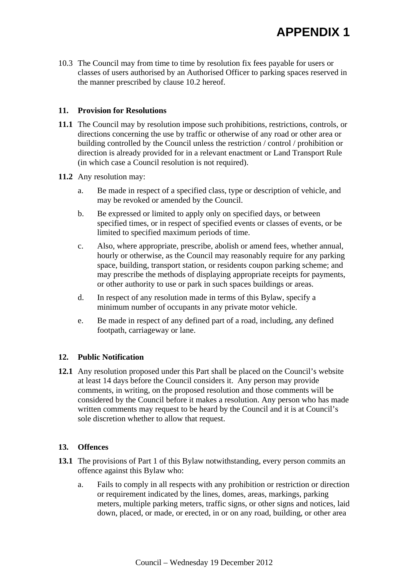10.3 The Council may from time to time by resolution fix fees payable for users or classes of users authorised by an Authorised Officer to parking spaces reserved in the manner prescribed by clause 10.2 hereof.

### **11. Provision for Resolutions**

**11.1** The Council may by resolution impose such prohibitions, restrictions, controls, or directions concerning the use by traffic or otherwise of any road or other area or building controlled by the Council unless the restriction / control / prohibition or direction is already provided for in a relevant enactment or Land Transport Rule (in which case a Council resolution is not required).

### **11.2** Any resolution may:

- a. Be made in respect of a specified class, type or description of vehicle, and may be revoked or amended by the Council.
- b. Be expressed or limited to apply only on specified days, or between specified times, or in respect of specified events or classes of events, or be limited to specified maximum periods of time.
- c. Also, where appropriate, prescribe, abolish or amend fees, whether annual, hourly or otherwise, as the Council may reasonably require for any parking space, building, transport station, or residents coupon parking scheme; and may prescribe the methods of displaying appropriate receipts for payments, or other authority to use or park in such spaces buildings or areas.
- d. In respect of any resolution made in terms of this Bylaw, specify a minimum number of occupants in any private motor vehicle.
- e. Be made in respect of any defined part of a road, including, any defined footpath, carriageway or lane.

### **12. Public Notification**

**12.1** Any resolution proposed under this Part shall be placed on the Council's website at least 14 days before the Council considers it. Any person may provide comments, in writing, on the proposed resolution and those comments will be considered by the Council before it makes a resolution. Any person who has made written comments may request to be heard by the Council and it is at Council's sole discretion whether to allow that request.

### **13. Offences**

- **13.1** The provisions of Part 1 of this Bylaw notwithstanding, every person commits an offence against this Bylaw who:
	- a. Fails to comply in all respects with any prohibition or restriction or direction or requirement indicated by the lines, domes, areas, markings, parking meters, multiple parking meters, traffic signs, or other signs and notices, laid down, placed, or made, or erected, in or on any road, building, or other area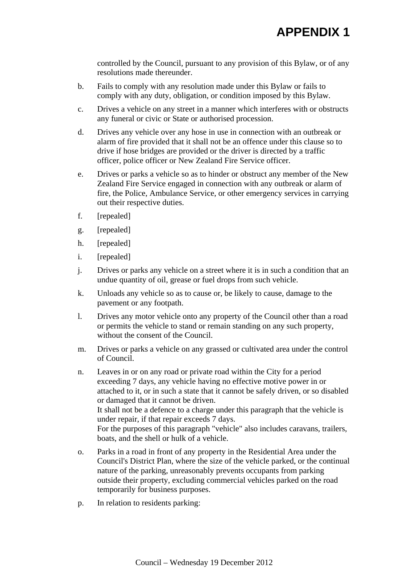controlled by the Council, pursuant to any provision of this Bylaw, or of any resolutions made thereunder.

- b. Fails to comply with any resolution made under this Bylaw or fails to comply with any duty, obligation, or condition imposed by this Bylaw.
- c. Drives a vehicle on any street in a manner which interferes with or obstructs any funeral or civic or State or authorised procession.
- d. Drives any vehicle over any hose in use in connection with an outbreak or alarm of fire provided that it shall not be an offence under this clause so to drive if hose bridges are provided or the driver is directed by a traffic officer, police officer or New Zealand Fire Service officer.
- e. Drives or parks a vehicle so as to hinder or obstruct any member of the New Zealand Fire Service engaged in connection with any outbreak or alarm of fire, the Police, Ambulance Service, or other emergency services in carrying out their respective duties.
- f. [repealed]
- g. [repealed]
- h. [repealed]
- i. [repealed]
- j. Drives or parks any vehicle on a street where it is in such a condition that an undue quantity of oil, grease or fuel drops from such vehicle.
- k. Unloads any vehicle so as to cause or, be likely to cause, damage to the pavement or any footpath.
- l. Drives any motor vehicle onto any property of the Council other than a road or permits the vehicle to stand or remain standing on any such property, without the consent of the Council.
- m. Drives or parks a vehicle on any grassed or cultivated area under the control of Council.
- n. Leaves in or on any road or private road within the City for a period exceeding 7 days, any vehicle having no effective motive power in or attached to it, or in such a state that it cannot be safely driven, or so disabled or damaged that it cannot be driven. It shall not be a defence to a charge under this paragraph that the vehicle is under repair, if that repair exceeds 7 days. For the purposes of this paragraph "vehicle" also includes caravans, trailers, boats, and the shell or hulk of a vehicle.
- o. Parks in a road in front of any property in the Residential Area under the Council's District Plan, where the size of the vehicle parked, or the continual nature of the parking, unreasonably prevents occupants from parking outside their property, excluding commercial vehicles parked on the road temporarily for business purposes.
- p. In relation to residents parking: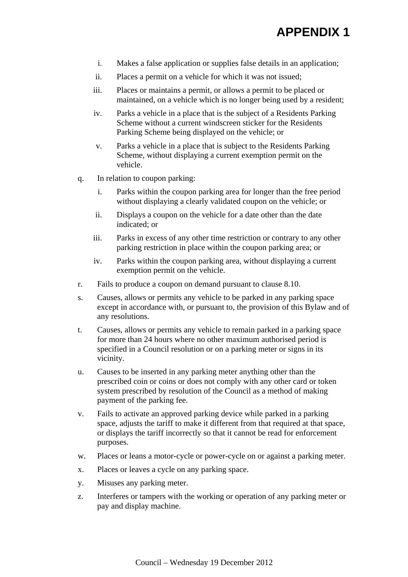- i. Makes a false application or supplies false details in an application;
- ii. Places a permit on a vehicle for which it was not issued;
- iii. Places or maintains a permit, or allows a permit to be placed or maintained, on a vehicle which is no longer being used by a resident;
- iv. Parks a vehicle in a place that is the subject of a Residents Parking Scheme without a current windscreen sticker for the Residents Parking Scheme being displayed on the vehicle; or
- v. Parks a vehicle in a place that is subject to the Residents Parking Scheme, without displaying a current exemption permit on the vehicle.
- q. In relation to coupon parking:
	- i. Parks within the coupon parking area for longer than the free period without displaying a clearly validated coupon on the vehicle; or
	- ii. Displays a coupon on the vehicle for a date other than the date indicated; or
	- iii. Parks in excess of any other time restriction or contrary to any other parking restriction in place within the coupon parking area; or
	- iv. Parks within the coupon parking area, without displaying a current exemption permit on the vehicle.
- r. Fails to produce a coupon on demand pursuant to clause 8.10.
- s. Causes, allows or permits any vehicle to be parked in any parking space except in accordance with, or pursuant to, the provision of this Bylaw and of any resolutions.
- t. Causes, allows or permits any vehicle to remain parked in a parking space for more than 24 hours where no other maximum authorised period is specified in a Council resolution or on a parking meter or signs in its vicinity.
- u. Causes to be inserted in any parking meter anything other than the prescribed coin or coins or does not comply with any other card or token system prescribed by resolution of the Council as a method of making payment of the parking fee.
- v. Fails to activate an approved parking device while parked in a parking space, adjusts the tariff to make it different from that required at that space, or displays the tariff incorrectly so that it cannot be read for enforcement purposes.
- w. Places or leans a motor-cycle or power-cycle on or against a parking meter.
- x. Places or leaves a cycle on any parking space.
- y. Misuses any parking meter.
- z. Interferes or tampers with the working or operation of any parking meter or pay and display machine.